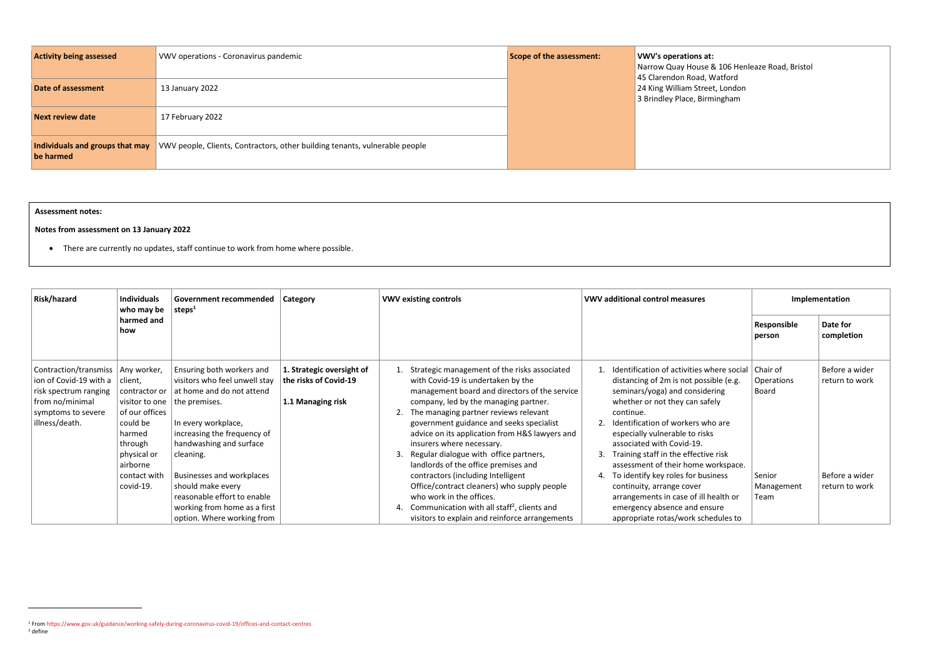| <b>Activity being assessed</b>               | VWV operations - Coronavirus pandemic                                       | Scope of the assessment: | <b>VWV's operations at:</b><br>Narrow Quay House 8                        |
|----------------------------------------------|-----------------------------------------------------------------------------|--------------------------|---------------------------------------------------------------------------|
| Date of assessment                           | 13 January 2022                                                             |                          | 45 Clarendon Road, W<br>24 King William Street<br>3 Brindley Place, Birmi |
| <b>Next review date</b>                      | 17 February 2022                                                            |                          |                                                                           |
| Individuals and groups that may<br>be harmed | VWV people, Clients, Contractors, other building tenants, vulnerable people |                          |                                                                           |

| Risk/hazard<br><b>Individuals</b><br><b>Government recommended</b><br><b>Category</b><br>who may be<br>steps $1$                                  |                                                                                                                          | <b>VWV existing controls</b>                                                                                                                                                                           | <b>VWV additional control measures</b>                                  |                                                                                                                                                                                                                                                                                                                                                                                                                                          |                                                                                                                                                                                                                                                                                                                                                                    |                              |                                  |
|---------------------------------------------------------------------------------------------------------------------------------------------------|--------------------------------------------------------------------------------------------------------------------------|--------------------------------------------------------------------------------------------------------------------------------------------------------------------------------------------------------|-------------------------------------------------------------------------|------------------------------------------------------------------------------------------------------------------------------------------------------------------------------------------------------------------------------------------------------------------------------------------------------------------------------------------------------------------------------------------------------------------------------------------|--------------------------------------------------------------------------------------------------------------------------------------------------------------------------------------------------------------------------------------------------------------------------------------------------------------------------------------------------------------------|------------------------------|----------------------------------|
|                                                                                                                                                   | harmed and<br>how                                                                                                        |                                                                                                                                                                                                        |                                                                         |                                                                                                                                                                                                                                                                                                                                                                                                                                          |                                                                                                                                                                                                                                                                                                                                                                    | Responsible<br>person        | Date for<br>completion           |
| Contraction/transmiss   Any worker,<br>ion of Covid-19 with a<br>risk spectrum ranging<br>from no/minimal<br>symptoms to severe<br>illness/death. | client,<br>contractor or<br>visitor to one<br>of our offices<br>could be<br>harmed<br>through<br>physical or<br>airborne | Ensuring both workers and<br>visitors who feel unwell stay<br>at home and do not attend<br>the premises.<br>In every workplace,<br>increasing the frequency of<br>handwashing and surface<br>cleaning. | 1. Strategic oversight of<br>the risks of Covid-19<br>1.1 Managing risk | Strategic management of the risks associated<br>with Covid-19 is undertaken by the<br>management board and directors of the service<br>company, led by the managing partner.<br>2. The managing partner reviews relevant<br>government guidance and seeks specialist<br>advice on its application from H&S lawyers and<br>insurers where necessary.<br>3. Regular dialogue with office partners,<br>landlords of the office premises and | Identification of activities where social   Chair of<br>distancing of 2m is not possible (e.g.<br>seminars/yoga) and considering<br>whether or not they can safely<br>continue.<br>Identification of workers who are<br>especially vulnerable to risks<br>associated with Covid-19.<br>Training staff in the effective risk<br>assessment of their home workspace. | Operations<br>Board          | Before a wider<br>return to work |
|                                                                                                                                                   | contact with<br>covid-19.                                                                                                | <b>Businesses and workplaces</b><br>should make every<br>reasonable effort to enable<br>working from home as a first<br>option. Where working from                                                     |                                                                         | contractors (including Intelligent<br>Office/contract cleaners) who supply people<br>who work in the offices.<br>4. Communication with all staff <sup>2</sup> , clients and<br>visitors to explain and reinforce arrangements                                                                                                                                                                                                            | To identify key roles for business<br>continuity, arrange cover<br>arrangements in case of ill health or<br>emergency absence and ensure<br>appropriate rotas/work schedules to                                                                                                                                                                                    | Senior<br>Management<br>Team | Before a wider<br>return to work |

& 106 Henleaze Road, Bristol Watford et, London mingham

**Assessment notes:** 

## **Notes from assessment on 13 January 2022**

• There are currently no updates, staff continue to work from home where possible.

<sup>1</sup> Fro[m https://www.gov.uk/guidance/working-safely-during-coronavirus-covid-19/offices-and-contact-centres](https://www.gov.uk/guidance/working-safely-during-coronavirus-covid-19/offices-and-contact-centres) <sup>2</sup> define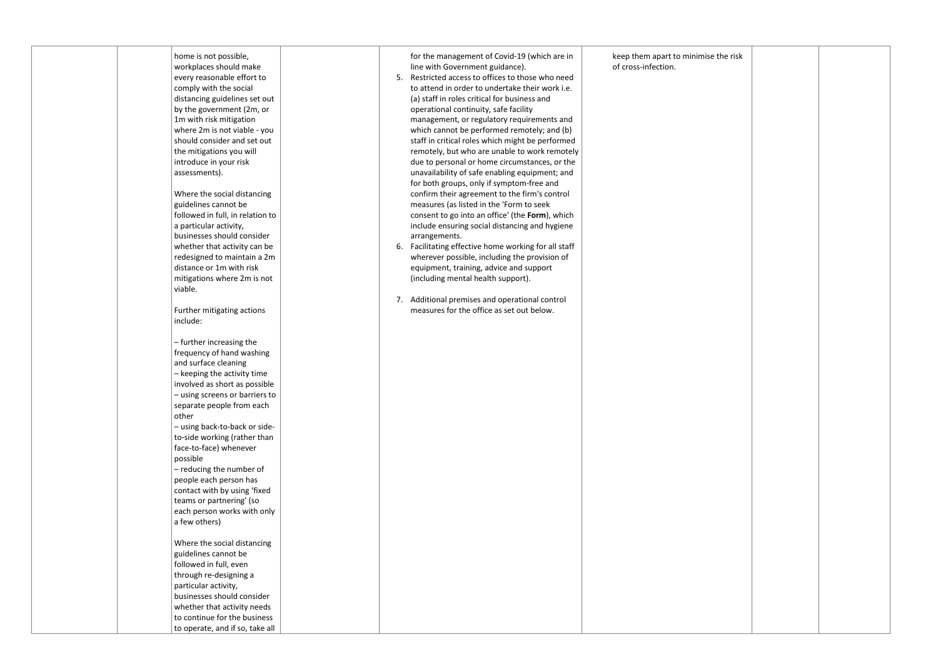| home is not possible,                                       | for the management of Covid-19 (which are in         | keep them apart to minimise |
|-------------------------------------------------------------|------------------------------------------------------|-----------------------------|
| workplaces should make                                      | line with Government guidance).                      | of cross-infection.         |
| every reasonable effort to                                  | Restricted access to offices to those who need<br>5. |                             |
| comply with the social                                      | to attend in order to undertake their work i.e.      |                             |
| distancing guidelines set out                               | (a) staff in roles critical for business and         |                             |
| by the government (2m, or                                   | operational continuity, safe facility                |                             |
| 1m with risk mitigation                                     | management, or regulatory requirements and           |                             |
| where 2m is not viable - you                                | which cannot be performed remotely; and (b)          |                             |
| should consider and set out                                 | staff in critical roles which might be performed     |                             |
| the mitigations you will                                    | remotely, but who are unable to work remotely        |                             |
| introduce in your risk                                      | due to personal or home circumstances, or the        |                             |
| assessments).                                               | unavailability of safe enabling equipment; and       |                             |
|                                                             | for both groups, only if symptom-free and            |                             |
| Where the social distancing                                 | confirm their agreement to the firm's control        |                             |
| guidelines cannot be                                        | measures (as listed in the 'Form to seek             |                             |
| followed in full, in relation to                            | consent to go into an office' (the Form), which      |                             |
| a particular activity,                                      | include ensuring social distancing and hygiene       |                             |
| businesses should consider                                  | arrangements.                                        |                             |
| whether that activity can be                                | 6. Facilitating effective home working for all staff |                             |
| redesigned to maintain a 2m                                 | wherever possible, including the provision of        |                             |
| distance or 1m with risk                                    | equipment, training, advice and support              |                             |
| mitigations where 2m is not                                 | (including mental health support).                   |                             |
| viable.                                                     |                                                      |                             |
|                                                             | 7. Additional premises and operational control       |                             |
| Further mitigating actions                                  | measures for the office as set out below.            |                             |
| include:                                                    |                                                      |                             |
| - further increasing the                                    |                                                      |                             |
| frequency of hand washing                                   |                                                      |                             |
| and surface cleaning                                        |                                                      |                             |
| - keeping the activity time                                 |                                                      |                             |
| involved as short as possible                               |                                                      |                             |
| - using screens or barriers to                              |                                                      |                             |
| separate people from each                                   |                                                      |                             |
| other                                                       |                                                      |                             |
| - using back-to-back or side-                               |                                                      |                             |
| to-side working (rather than                                |                                                      |                             |
| face-to-face) whenever                                      |                                                      |                             |
| possible                                                    |                                                      |                             |
| - reducing the number of                                    |                                                      |                             |
| people each person has                                      |                                                      |                             |
| contact with by using 'fixed                                |                                                      |                             |
| teams or partnering' (so                                    |                                                      |                             |
| each person works with only                                 |                                                      |                             |
| a few others)                                               |                                                      |                             |
|                                                             |                                                      |                             |
| Where the social distancing<br>guidelines cannot be         |                                                      |                             |
| followed in full, even                                      |                                                      |                             |
| through re-designing a                                      |                                                      |                             |
| particular activity,                                        |                                                      |                             |
| businesses should consider                                  |                                                      |                             |
|                                                             |                                                      |                             |
| whether that activity needs<br>to continue for the business |                                                      |                             |
|                                                             |                                                      |                             |
| to operate, and if so, take all                             |                                                      |                             |

| imise the risk |  |
|----------------|--|
|                |  |
|                |  |
|                |  |
|                |  |
|                |  |
|                |  |
|                |  |
|                |  |
|                |  |
|                |  |
|                |  |
|                |  |
|                |  |
|                |  |
|                |  |
|                |  |
|                |  |
|                |  |
|                |  |
|                |  |
|                |  |
|                |  |
|                |  |
|                |  |
|                |  |
|                |  |
|                |  |
|                |  |
|                |  |
|                |  |
|                |  |
|                |  |
|                |  |
|                |  |
|                |  |
|                |  |
|                |  |
|                |  |
|                |  |
|                |  |
|                |  |
|                |  |
|                |  |
|                |  |
|                |  |
|                |  |
|                |  |
|                |  |
|                |  |
|                |  |
|                |  |
|                |  |
|                |  |
|                |  |
|                |  |
|                |  |
|                |  |
|                |  |
|                |  |
|                |  |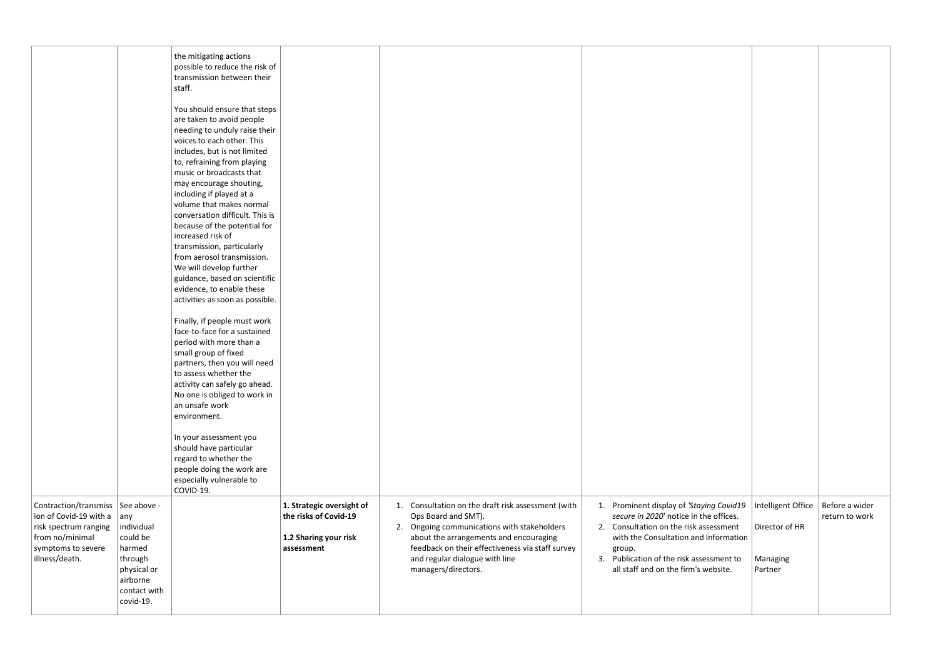| Contraction/transmiss   See above -                                                                                                                                                                                       | the mitigating actions<br>possible to reduce the risk of<br>transmission between their<br>staff.<br>You should ensure that steps<br>are taken to avoid people<br>needing to unduly raise their<br>voices to each other. This<br>includes, but is not limited<br>to, refraining from playing<br>music or broadcasts that<br>may encourage shouting,<br>including if played at a<br>volume that makes normal<br>conversation difficult. This is<br>because of the potential for<br>increased risk of<br>transmission, particularly<br>from aerosol transmission.<br>We will develop further<br>guidance, based on scientific<br>evidence, to enable these<br>activities as soon as possible.<br>Finally, if people must work<br>face-to-face for a sustained<br>period with more than a<br>small group of fixed<br>partners, then you will need<br>to assess whether the<br>activity can safely go ahead.<br>No one is obliged to work in<br>an unsafe work<br>environment.<br>In your assessment you<br>should have particular<br>regard to whether the<br>people doing the work are<br>especially vulnerable to<br>COVID-19. | 1. Strategic oversight of                                    | 1. Consultation on the draft risk assessment (with                                                                                                                                                                        | Prominent display of 'Staying Covid19<br>1.                                                                                                                                                                                | Intelligent Office<br>Before a wider                    |
|---------------------------------------------------------------------------------------------------------------------------------------------------------------------------------------------------------------------------|------------------------------------------------------------------------------------------------------------------------------------------------------------------------------------------------------------------------------------------------------------------------------------------------------------------------------------------------------------------------------------------------------------------------------------------------------------------------------------------------------------------------------------------------------------------------------------------------------------------------------------------------------------------------------------------------------------------------------------------------------------------------------------------------------------------------------------------------------------------------------------------------------------------------------------------------------------------------------------------------------------------------------------------------------------------------------------------------------------------------------|--------------------------------------------------------------|---------------------------------------------------------------------------------------------------------------------------------------------------------------------------------------------------------------------------|----------------------------------------------------------------------------------------------------------------------------------------------------------------------------------------------------------------------------|---------------------------------------------------------|
| ion of Covid-19 with a $ $ any<br>individual<br>risk spectrum ranging<br>could be<br>from no/minimal<br>harmed<br>symptoms to severe<br>illness/death.<br>through<br>physical or<br>airborne<br>contact with<br>covid-19. |                                                                                                                                                                                                                                                                                                                                                                                                                                                                                                                                                                                                                                                                                                                                                                                                                                                                                                                                                                                                                                                                                                                              | the risks of Covid-19<br>1.2 Sharing your risk<br>assessment | Ops Board and SMT).<br>2. Ongoing communications with stakeholders<br>about the arrangements and encouraging<br>feedback on their effectiveness via staff survey<br>and regular dialogue with line<br>managers/directors. | secure in 2020' notice in the offices.<br>2. Consultation on the risk assessment<br>with the Consultation and Information<br>group.<br>Publication of the risk assessment to<br>3.<br>all staff and on the firm's website. | return to work<br>Director of HR<br>Managing<br>Partner |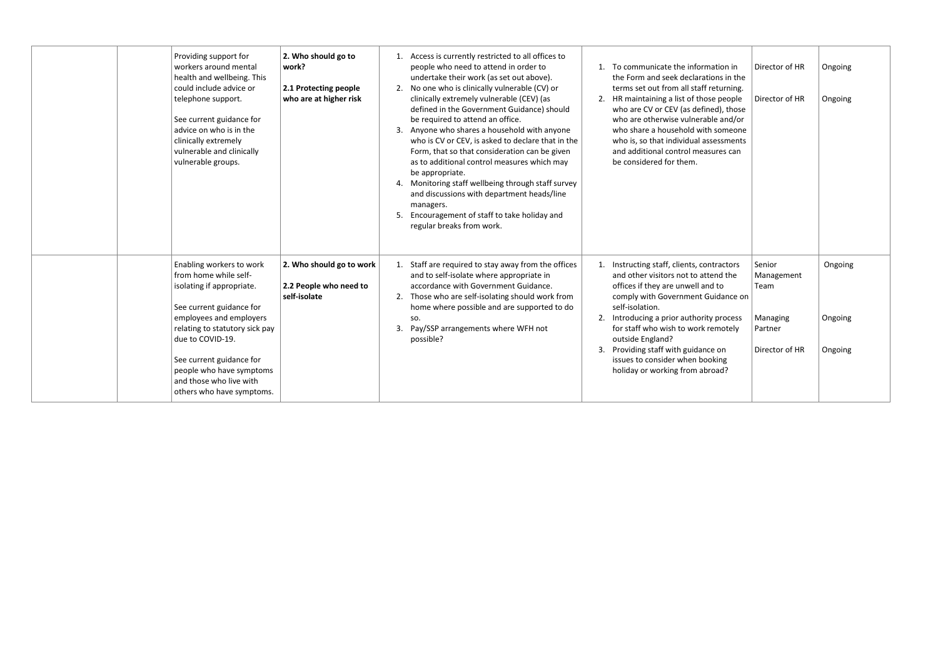| Providing support for<br>workers around mental<br>health and wellbeing. This<br>could include advice or<br>telephone support.<br>See current guidance for<br>advice on who is in the<br>clinically extremely<br>vulnerable and clinically<br>vulnerable groups.                                             | 2. Who should go to<br>work?<br>2.1 Protecting people<br>who are at higher risk | 1. Access is currently restricted to all offices to<br>people who need to attend in order to<br>To communicate the information in<br>undertake their work (as set out above).<br>the Form and seek declarations in the<br>2. No one who is clinically vulnerable (CV) or<br>terms set out from all staff returning.<br>clinically extremely vulnerable (CEV) (as<br>2. HR maintaining a list of those people<br>defined in the Government Guidance) should<br>who are CV or CEV (as defined), those<br>be required to attend an office.<br>who are otherwise vulnerable and/or<br>3. Anyone who shares a household with anyone<br>who share a household with someone<br>who is CV or CEV, is asked to declare that in the<br>who is, so that individual assessments<br>Form, that so that consideration can be given<br>and additional control measures can<br>as to additional control measures which may<br>be considered for them.<br>be appropriate.<br>4. Monitoring staff wellbeing through staff survey<br>and discussions with department heads/line<br>managers.<br>5. Encouragement of staff to take holiday and<br>regular breaks from work. | Director of HR<br>Director of HR                                      | Ongoing<br>Ongoing            |
|-------------------------------------------------------------------------------------------------------------------------------------------------------------------------------------------------------------------------------------------------------------------------------------------------------------|---------------------------------------------------------------------------------|---------------------------------------------------------------------------------------------------------------------------------------------------------------------------------------------------------------------------------------------------------------------------------------------------------------------------------------------------------------------------------------------------------------------------------------------------------------------------------------------------------------------------------------------------------------------------------------------------------------------------------------------------------------------------------------------------------------------------------------------------------------------------------------------------------------------------------------------------------------------------------------------------------------------------------------------------------------------------------------------------------------------------------------------------------------------------------------------------------------------------------------------------------|-----------------------------------------------------------------------|-------------------------------|
| Enabling workers to work<br>from home while self-<br>isolating if appropriate.<br>See current guidance for<br>employees and employers<br>relating to statutory sick pay<br>due to COVID-19.<br>See current guidance for<br>people who have symptoms<br>and those who live with<br>others who have symptoms. | 2. Who should go to work<br>2.2 People who need to<br>self-isolate              | 1. Staff are required to stay away from the offices<br>1. Instructing staff, clients, contractors<br>and to self-isolate where appropriate in<br>and other visitors not to attend the<br>accordance with Government Guidance.<br>offices if they are unwell and to<br>2. Those who are self-isolating should work from<br>comply with Government Guidance on<br>home where possible and are supported to do<br>self-isolation.<br>2. Introducing a prior authority process<br>SO.<br>Pay/SSP arrangements where WFH not<br>for staff who wish to work remotely<br>3.<br>outside England?<br>possible?<br>3. Providing staff with guidance on<br>issues to consider when booking<br>holiday or working from abroad?                                                                                                                                                                                                                                                                                                                                                                                                                                      | Senior<br>Management<br>Team<br>Managing<br>Partner<br>Director of HR | Ongoing<br>Ongoing<br>Ongoing |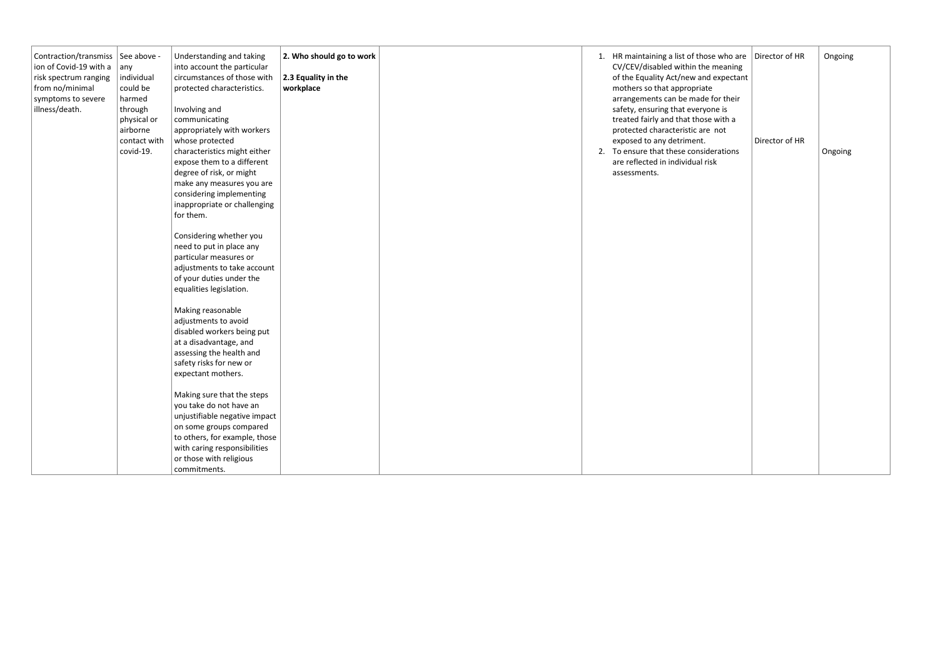| Contraction/transmiss   See above -<br>ion of Covid-19 with a<br>risk spectrum ranging<br>from no/minimal<br>symptoms to severe<br>illness/death. | any<br>individual<br>could be<br>harmed<br>through<br>physical or<br>airborne<br>contact with<br>covid-19. | Understanding and taking<br>into account the particular<br>circumstances of those with<br>protected characteristics.<br>Involving and<br>communicating<br>appropriately with workers<br>whose protected<br>characteristics might either<br>expose them to a different<br>degree of risk, or might<br>make any measures you are<br>considering implementing<br>inappropriate or challenging<br>for them.<br>Considering whether you<br>need to put in place any<br>particular measures or<br>adjustments to take account<br>of your duties under the<br>equalities legislation.<br>Making reasonable<br>adjustments to avoid<br>disabled workers being put<br>at a disadvantage, and<br>assessing the health and<br>safety risks for new or<br>expectant mothers.<br>Making sure that the steps<br>you take do not have an<br>unjustifiable negative impact<br>on some groups compared<br>to others, for example, those | 2. Who should go to work<br>2.3 Equality in the<br>workplace | 1. HR maintaining a list of those who are $\vert$ Director of HR<br>CV/CEV/disabled within the meaning<br>of the Equality Act/new and expectant<br>mothers so that appropriate<br>arrangements can be made for their<br>safety, ensuring that everyone is<br>treated fairly and that those with a<br>protected characteristic are not<br>exposed to any detriment.<br>2. To ensure that these considerations<br>are reflected in individual risk<br>assessments. | Director of HR | Ongoing<br>Ongoing |
|---------------------------------------------------------------------------------------------------------------------------------------------------|------------------------------------------------------------------------------------------------------------|------------------------------------------------------------------------------------------------------------------------------------------------------------------------------------------------------------------------------------------------------------------------------------------------------------------------------------------------------------------------------------------------------------------------------------------------------------------------------------------------------------------------------------------------------------------------------------------------------------------------------------------------------------------------------------------------------------------------------------------------------------------------------------------------------------------------------------------------------------------------------------------------------------------------|--------------------------------------------------------------|------------------------------------------------------------------------------------------------------------------------------------------------------------------------------------------------------------------------------------------------------------------------------------------------------------------------------------------------------------------------------------------------------------------------------------------------------------------|----------------|--------------------|
|                                                                                                                                                   |                                                                                                            | with caring responsibilities<br>or those with religious                                                                                                                                                                                                                                                                                                                                                                                                                                                                                                                                                                                                                                                                                                                                                                                                                                                                |                                                              |                                                                                                                                                                                                                                                                                                                                                                                                                                                                  |                |                    |
|                                                                                                                                                   |                                                                                                            | commitments.                                                                                                                                                                                                                                                                                                                                                                                                                                                                                                                                                                                                                                                                                                                                                                                                                                                                                                           |                                                              |                                                                                                                                                                                                                                                                                                                                                                                                                                                                  |                |                    |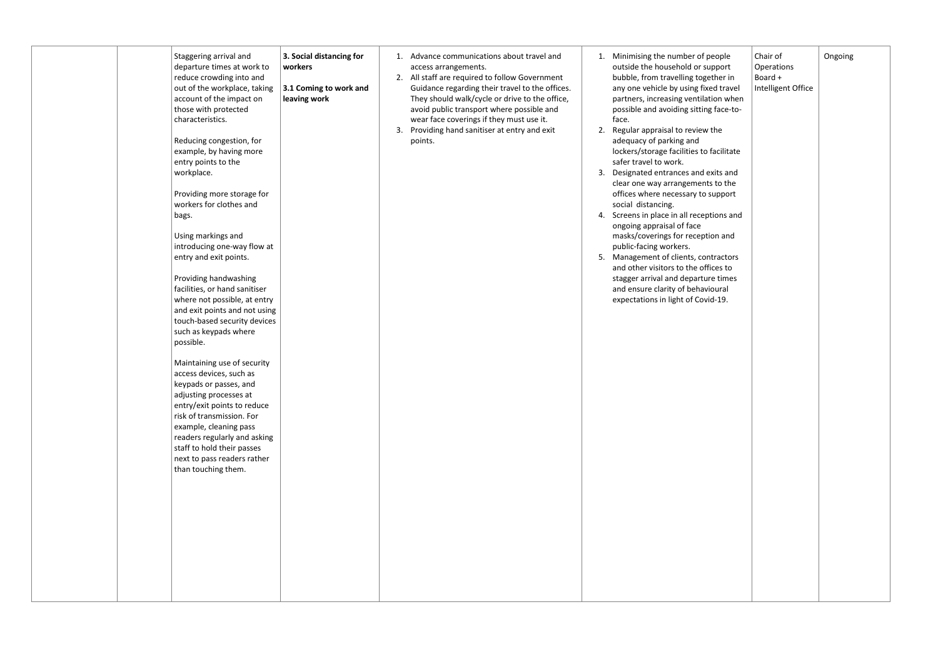| Staggering arrival and<br>departure times at work to<br>reduce crowding into and<br>out of the workplace, taking<br>account of the impact on<br>those with protected<br>characteristics.<br>Reducing congestion, for<br>example, by having more<br>entry points to the<br>workplace.<br>Providing more storage for<br>workers for clothes and<br>bags.<br>Using markings and<br>introducing one-way flow at<br>entry and exit points.<br>Providing handwashing<br>facilities, or hand sanitiser<br>where not possible, at entry<br>and exit points and not using<br>touch-based security devices<br>such as keypads where<br>possible.<br>Maintaining use of security<br>access devices, such as<br>keypads or passes, and<br>adjusting processes at<br>entry/exit points to reduce<br>risk of transmission. For<br>example, cleaning pass<br>readers regularly and asking<br>staff to hold their passes<br>next to pass readers rather<br>than touching them. | 3. Social distancing for<br>workers<br>3.1 Coming to work and<br>leaving work | 1. Advance communications about travel and<br>access arrangements.<br>2. All staff are required to follow Government<br>Guidance regarding their travel to the offices.<br>They should walk/cycle or drive to the office,<br>avoid public transport where possible and<br>wear face coverings if they must use it.<br>Providing hand sanitiser at entry and exit<br>3.<br>points. | 1. Minimising the number of people<br>outside the household or support<br>bubble, from travelling together in<br>any one vehicle by using fixed travel<br>partners, increasing ventilation when<br>possible and avoiding sitting face-to-<br>face.<br>2.<br>Regular appraisal to review the<br>adequacy of parking and<br>lockers/storage facilities to facilitate<br>safer travel to work.<br>3.<br>Designated entrances and exits and<br>clear one way arrangements to the<br>offices where necessary to support<br>social distancing.<br>Screens in place in all receptions and<br>4.<br>ongoing appraisal of face<br>masks/coverings for reception and<br>public-facing workers.<br>Management of clients, contractors<br>5.<br>and other visitors to the offices to<br>stagger arrival and departure times<br>and ensure clarity of behavioural<br>expectations in light of Covid-19. |
|----------------------------------------------------------------------------------------------------------------------------------------------------------------------------------------------------------------------------------------------------------------------------------------------------------------------------------------------------------------------------------------------------------------------------------------------------------------------------------------------------------------------------------------------------------------------------------------------------------------------------------------------------------------------------------------------------------------------------------------------------------------------------------------------------------------------------------------------------------------------------------------------------------------------------------------------------------------|-------------------------------------------------------------------------------|-----------------------------------------------------------------------------------------------------------------------------------------------------------------------------------------------------------------------------------------------------------------------------------------------------------------------------------------------------------------------------------|--------------------------------------------------------------------------------------------------------------------------------------------------------------------------------------------------------------------------------------------------------------------------------------------------------------------------------------------------------------------------------------------------------------------------------------------------------------------------------------------------------------------------------------------------------------------------------------------------------------------------------------------------------------------------------------------------------------------------------------------------------------------------------------------------------------------------------------------------------------------------------------------|
|----------------------------------------------------------------------------------------------------------------------------------------------------------------------------------------------------------------------------------------------------------------------------------------------------------------------------------------------------------------------------------------------------------------------------------------------------------------------------------------------------------------------------------------------------------------------------------------------------------------------------------------------------------------------------------------------------------------------------------------------------------------------------------------------------------------------------------------------------------------------------------------------------------------------------------------------------------------|-------------------------------------------------------------------------------|-----------------------------------------------------------------------------------------------------------------------------------------------------------------------------------------------------------------------------------------------------------------------------------------------------------------------------------------------------------------------------------|--------------------------------------------------------------------------------------------------------------------------------------------------------------------------------------------------------------------------------------------------------------------------------------------------------------------------------------------------------------------------------------------------------------------------------------------------------------------------------------------------------------------------------------------------------------------------------------------------------------------------------------------------------------------------------------------------------------------------------------------------------------------------------------------------------------------------------------------------------------------------------------------|

| eople<br>ipport<br>ther in<br>ed travel<br>ion when<br>g face-to- | Chair of<br>Operations<br>Board +<br>Intelligent Office | Ongoing |
|-------------------------------------------------------------------|---------------------------------------------------------|---------|
| the                                                               |                                                         |         |
| facilitate                                                        |                                                         |         |
| xits and<br>s to the<br>support                                   |                                                         |         |
| tions and                                                         |                                                         |         |
| on and                                                            |                                                         |         |
| tractors<br>ices to<br>e times<br>oural<br>d-19.                  |                                                         |         |
|                                                                   |                                                         |         |
|                                                                   |                                                         |         |
|                                                                   |                                                         |         |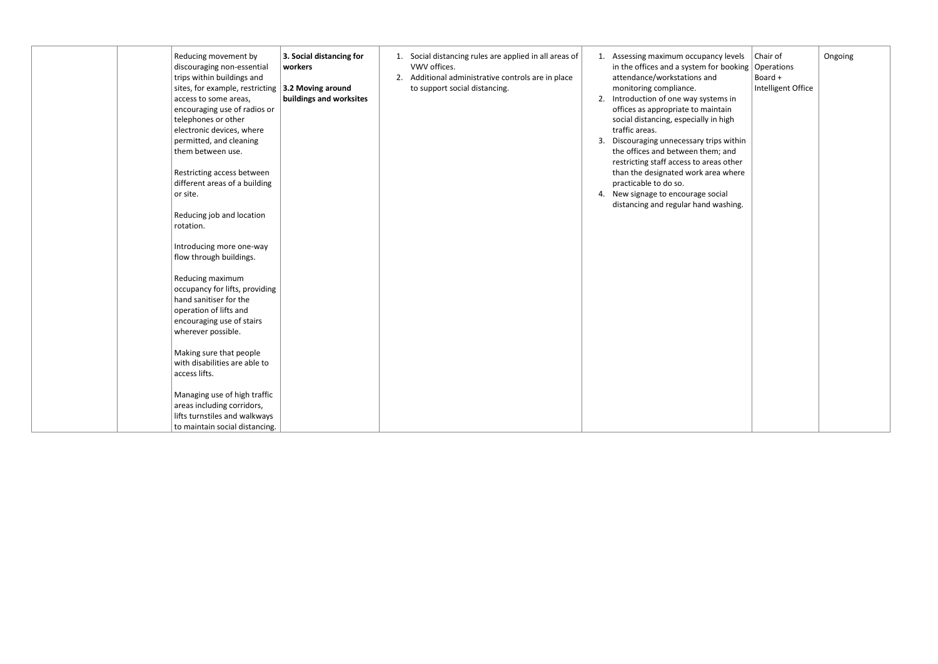| Reducing movement by<br>discouraging non-essential<br>trips within buildings and<br>sites, for example, restricting $\vert$ 3.2 Moving around<br>access to some areas,<br>encouraging use of radios or<br>telephones or other<br>electronic devices, where<br>permitted, and cleaning<br>them between use.<br>Restricting access between<br>different areas of a building<br>or site.<br>Reducing job and location<br>rotation. | 3. Social distancing for<br>workers<br>buildings and worksites | VWV offices.<br>to support social distancing. | 1. Social distancing rules are applied in all areas of<br>2. Additional administrative controls are in place | 3. | 1. Assessing maximum occupancy levels<br>in the offices and a system for booking $\log$ Operations<br>attendance/workstations and<br>monitoring compliance.<br>2. Introduction of one way systems in<br>offices as appropriate to maintain<br>social distancing, especially in high<br>traffic areas.<br>Discouraging unnecessary trips within<br>the offices and between them; and<br>restricting staff access to areas other<br>than the designated work area where<br>practicable to do so.<br>4. New signage to encourage social<br>distancing and regular hand washing. | Chair of<br>Board +<br>Intelligent Office | Ongoing |
|---------------------------------------------------------------------------------------------------------------------------------------------------------------------------------------------------------------------------------------------------------------------------------------------------------------------------------------------------------------------------------------------------------------------------------|----------------------------------------------------------------|-----------------------------------------------|--------------------------------------------------------------------------------------------------------------|----|------------------------------------------------------------------------------------------------------------------------------------------------------------------------------------------------------------------------------------------------------------------------------------------------------------------------------------------------------------------------------------------------------------------------------------------------------------------------------------------------------------------------------------------------------------------------------|-------------------------------------------|---------|
| Introducing more one-way<br>flow through buildings.                                                                                                                                                                                                                                                                                                                                                                             |                                                                |                                               |                                                                                                              |    |                                                                                                                                                                                                                                                                                                                                                                                                                                                                                                                                                                              |                                           |         |
| Reducing maximum<br>occupancy for lifts, providing<br>hand sanitiser for the<br>operation of lifts and<br>encouraging use of stairs<br>wherever possible.                                                                                                                                                                                                                                                                       |                                                                |                                               |                                                                                                              |    |                                                                                                                                                                                                                                                                                                                                                                                                                                                                                                                                                                              |                                           |         |
| Making sure that people<br>with disabilities are able to<br>access lifts.                                                                                                                                                                                                                                                                                                                                                       |                                                                |                                               |                                                                                                              |    |                                                                                                                                                                                                                                                                                                                                                                                                                                                                                                                                                                              |                                           |         |
| Managing use of high traffic<br>areas including corridors,<br>lifts turnstiles and walkways<br>to maintain social distancing.                                                                                                                                                                                                                                                                                                   |                                                                |                                               |                                                                                                              |    |                                                                                                                                                                                                                                                                                                                                                                                                                                                                                                                                                                              |                                           |         |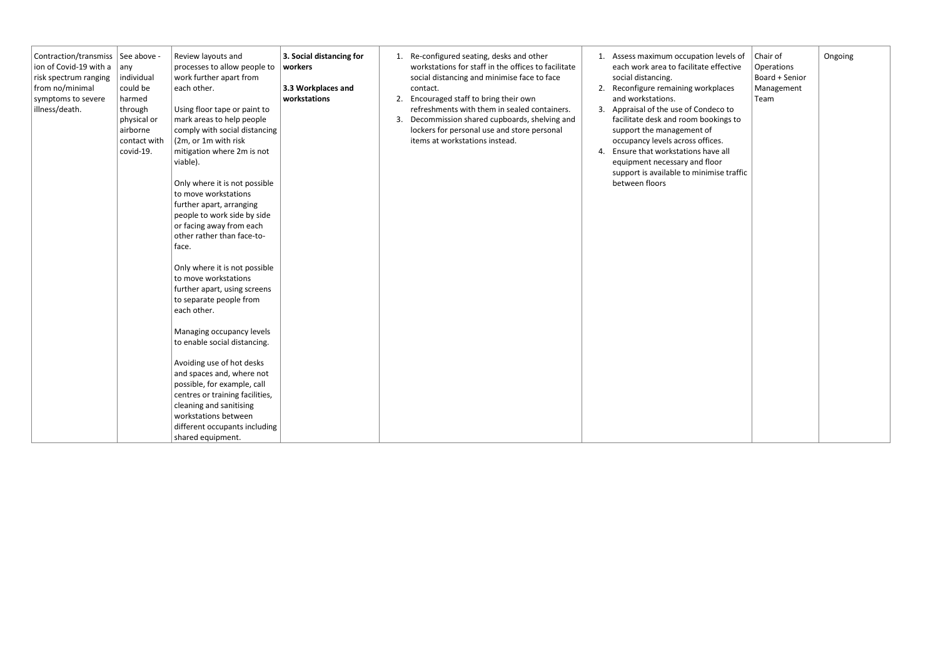| Contraction/transmiss   See above -<br>ion of Covid-19 with a<br>risk spectrum ranging<br>from no/minimal<br>symptoms to severe<br>illness/death. | $ $ any<br>individual<br>could be<br>harmed<br>through<br>physical or<br>airborne<br>contact with<br>covid-19. | Review layouts and<br>processes to allow people to<br>work further apart from<br>each other.<br>Using floor tape or paint to<br>mark areas to help people<br>comply with social distancing<br>(2m, or 1m with risk<br>mitigation where 2m is not<br>viable).<br>Only where it is not possible<br>to move workstations<br>further apart, arranging<br>people to work side by side<br>or facing away from each<br>other rather than face-to-<br>face. | 3. Social distancing for<br>workers<br>3.3 Workplaces and<br>workstations | 3. | contact. | 1. Re-configured seating, desks and other<br>workstations for staff in the offices to facilitate<br>social distancing and minimise face to face<br>2. Encouraged staff to bring their own<br>refreshments with them in sealed containers.<br>Decommission shared cupboards, shelving and<br>lockers for personal use and store personal<br>items at workstations instead. |  | 1. Assess maximum occupation levels of<br>each work area to facilitate effective<br>social distancing.<br>2. Reconfigure remaining workplaces<br>and workstations.<br>3. Appraisal of the use of Condeco to<br>facilitate desk and room bookings to<br>support the management of<br>occupancy levels across offices.<br>Ensure that workstations have all<br>equipment necessary and floor<br>support is available to minimise traffic<br>between floors | Chair of<br>Operations<br>Board + Senior<br>Management<br>Team | Ongoing |
|---------------------------------------------------------------------------------------------------------------------------------------------------|----------------------------------------------------------------------------------------------------------------|-----------------------------------------------------------------------------------------------------------------------------------------------------------------------------------------------------------------------------------------------------------------------------------------------------------------------------------------------------------------------------------------------------------------------------------------------------|---------------------------------------------------------------------------|----|----------|---------------------------------------------------------------------------------------------------------------------------------------------------------------------------------------------------------------------------------------------------------------------------------------------------------------------------------------------------------------------------|--|----------------------------------------------------------------------------------------------------------------------------------------------------------------------------------------------------------------------------------------------------------------------------------------------------------------------------------------------------------------------------------------------------------------------------------------------------------|----------------------------------------------------------------|---------|
|                                                                                                                                                   |                                                                                                                | Only where it is not possible<br>to move workstations<br>further apart, using screens<br>to separate people from<br>each other.<br>Managing occupancy levels                                                                                                                                                                                                                                                                                        |                                                                           |    |          |                                                                                                                                                                                                                                                                                                                                                                           |  |                                                                                                                                                                                                                                                                                                                                                                                                                                                          |                                                                |         |
|                                                                                                                                                   |                                                                                                                | to enable social distancing.<br>Avoiding use of hot desks<br>and spaces and, where not<br>possible, for example, call<br>centres or training facilities,<br>cleaning and sanitising<br>workstations between<br>different occupants including<br>shared equipment.                                                                                                                                                                                   |                                                                           |    |          |                                                                                                                                                                                                                                                                                                                                                                           |  |                                                                                                                                                                                                                                                                                                                                                                                                                                                          |                                                                |         |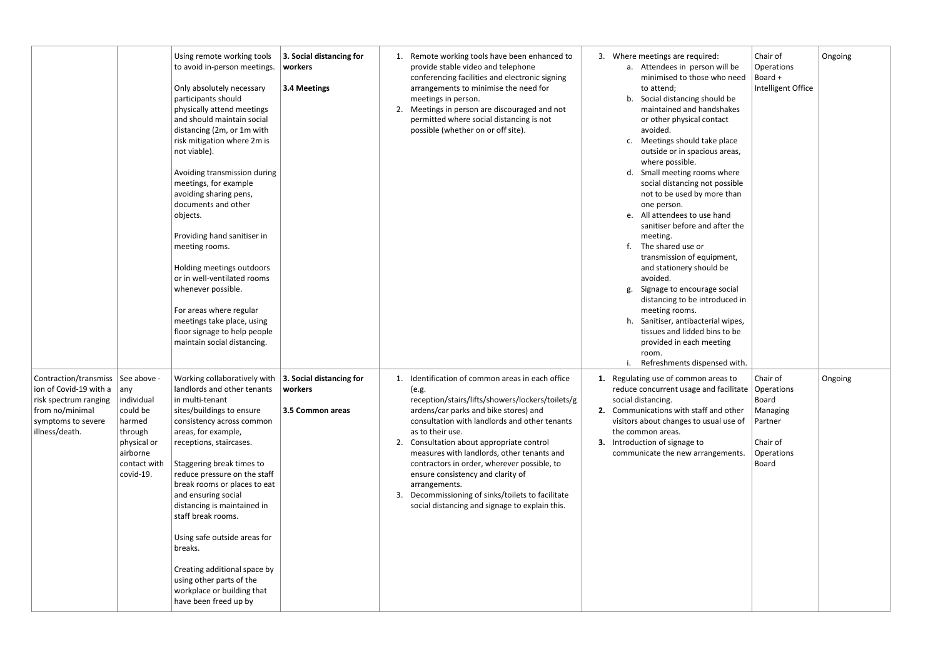|                                                                                                                                       |                                                                                                                           | Using remote working tools<br>to avoid in-person meetings.<br>Only absolutely necessary<br>participants should<br>physically attend meetings<br>and should maintain social<br>distancing (2m, or 1m with<br>risk mitigation where 2m is<br>not viable).<br>Avoiding transmission during<br>meetings, for example<br>avoiding sharing pens,<br>documents and other<br>objects.<br>Providing hand sanitiser in<br>meeting rooms.<br>Holding meetings outdoors<br>or in well-ventilated rooms<br>whenever possible.<br>For areas where regular<br>meetings take place, using<br>floor signage to help people<br>maintain social distancing. | 3. Social distancing for<br>workers<br>3.4 Meetings     |          | Remote working tools have been enhanced to<br>provide stable video and telephone<br>conferencing facilities and electronic signing<br>arrangements to minimise the need for<br>meetings in person.<br>2. Meetings in person are discouraged and not<br>permitted where social distancing is not<br>possible (whether on or off site).                                                                                                                                                                                        |          | 3. Where meetings are required:<br>a. Attendees in person will be<br>minimised to those who need<br>to attend;<br>Social distancing should be<br>b.<br>maintained and handshakes<br>or other physical contact<br>avoided.<br>Meetings should take place<br>c.<br>outside or in spacious areas,<br>where possible.<br>Small meeting rooms where<br>d.<br>social distancing not possible<br>not to be used by more than<br>one person.<br>e. All attendees to use hand<br>sanitiser before and after the<br>meeting.<br>The shared use or<br>f.<br>transmission of equipment,<br>and stationery should be<br>avoided.<br>Signage to encourage social<br>g.<br>distancing to be introduced in<br>meeting rooms.<br>Sanitiser, antibacterial wipes,<br>h.<br>tissues and lidded bins to be<br>provided in each meeting<br>room.<br>Refreshments dispensed with. |
|---------------------------------------------------------------------------------------------------------------------------------------|---------------------------------------------------------------------------------------------------------------------------|------------------------------------------------------------------------------------------------------------------------------------------------------------------------------------------------------------------------------------------------------------------------------------------------------------------------------------------------------------------------------------------------------------------------------------------------------------------------------------------------------------------------------------------------------------------------------------------------------------------------------------------|---------------------------------------------------------|----------|------------------------------------------------------------------------------------------------------------------------------------------------------------------------------------------------------------------------------------------------------------------------------------------------------------------------------------------------------------------------------------------------------------------------------------------------------------------------------------------------------------------------------|----------|-------------------------------------------------------------------------------------------------------------------------------------------------------------------------------------------------------------------------------------------------------------------------------------------------------------------------------------------------------------------------------------------------------------------------------------------------------------------------------------------------------------------------------------------------------------------------------------------------------------------------------------------------------------------------------------------------------------------------------------------------------------------------------------------------------------------------------------------------------------|
| Contraction/transmiss  <br>ion of Covid-19 with a<br>risk spectrum ranging<br>from no/minimal<br>symptoms to severe<br>illness/death. | See above -<br>any<br>individual<br>could be<br>harmed<br>through<br>physical or<br>airborne<br>contact with<br>covid-19. | Working collaboratively with<br>landlords and other tenants<br>in multi-tenant<br>sites/buildings to ensure<br>consistency across common<br>areas, for example,<br>receptions, staircases.<br>Staggering break times to<br>reduce pressure on the staff<br>break rooms or places to eat<br>and ensuring social<br>distancing is maintained in<br>staff break rooms.<br>Using safe outside areas for<br>breaks.<br>Creating additional space by<br>using other parts of the<br>workplace or building that<br>have been freed up by                                                                                                        | 3. Social distancing for<br>workers<br>3.5 Common areas | 1.<br>3. | Identification of common areas in each office<br>(e.g.<br>reception/stairs/lifts/showers/lockers/toilets/g<br>ardens/car parks and bike stores) and<br>consultation with landlords and other tenants<br>as to their use.<br>2. Consultation about appropriate control<br>measures with landlords, other tenants and<br>contractors in order, wherever possible, to<br>ensure consistency and clarity of<br>arrangements.<br>Decommissioning of sinks/toilets to facilitate<br>social distancing and signage to explain this. | 1.<br>3. | Regulating use of common areas to<br>reduce concurrent usage and facilitate<br>social distancing.<br>Communications with staff and other<br>visitors about changes to usual use of<br>the common areas.<br>Introduction of signage to<br>communicate the new arrangements.                                                                                                                                                                                                                                                                                                                                                                                                                                                                                                                                                                                  |

| ed:<br>n will be<br>who need        | Chair of<br>Operations<br>Board +<br>Intelligent Office               | Ongoing |
|-------------------------------------|-----------------------------------------------------------------------|---------|
| ould be<br>dshakes<br>ntact         |                                                                       |         |
| ke place<br>us areas,               |                                                                       |         |
| าร where<br>t possible<br>nore than |                                                                       |         |
| hand<br>d after the                 |                                                                       |         |
| ipment,<br>ıld be                   |                                                                       |         |
| ge social<br>roduced in             |                                                                       |         |
| rial wipes,<br>ins to be<br>eeting  |                                                                       |         |
| nsed with.                          |                                                                       |         |
| areas to                            | Chair of<br>$\mathsf{Id}$ facilitate $\mathsf{I}$ Operations<br>Board | Ongoing |
| and other<br>ual use of             | Managing<br>Partner                                                   |         |
| ngements.                           | Chair of<br>Operations<br><b>Board</b>                                |         |
|                                     |                                                                       |         |
|                                     |                                                                       |         |
|                                     |                                                                       |         |
|                                     |                                                                       |         |
|                                     |                                                                       |         |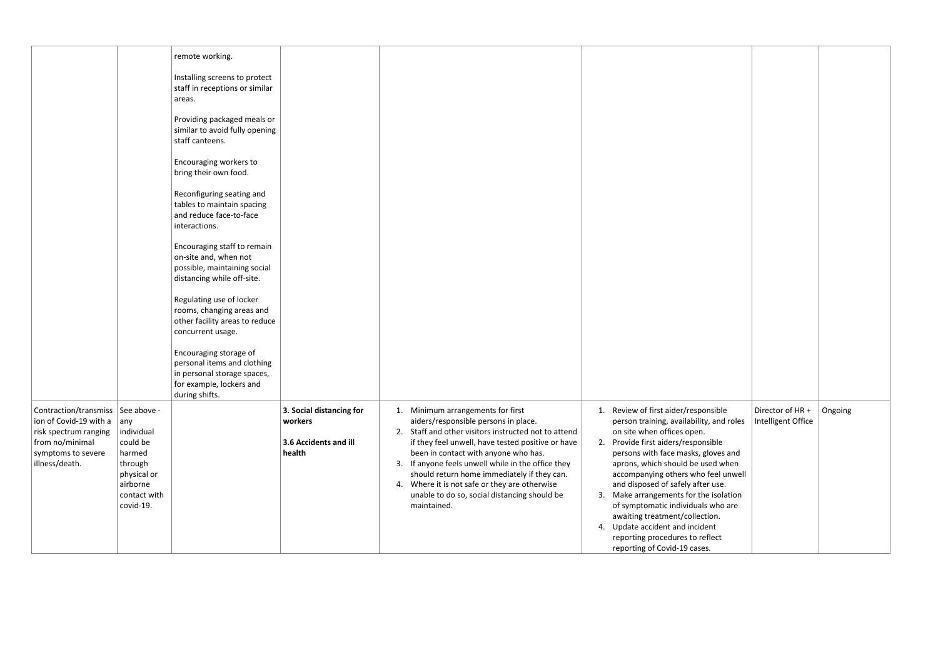|                                                                                                                                                   |                                                                                                                | remote working.                                                                                                                    |                                                                        |                                                                                                                                                                                                                                                                                                                                                                                                                                                     |                                                                                                                                                                                                                                                                                                                                                                                                                                                                                                                                                                                    |         |
|---------------------------------------------------------------------------------------------------------------------------------------------------|----------------------------------------------------------------------------------------------------------------|------------------------------------------------------------------------------------------------------------------------------------|------------------------------------------------------------------------|-----------------------------------------------------------------------------------------------------------------------------------------------------------------------------------------------------------------------------------------------------------------------------------------------------------------------------------------------------------------------------------------------------------------------------------------------------|------------------------------------------------------------------------------------------------------------------------------------------------------------------------------------------------------------------------------------------------------------------------------------------------------------------------------------------------------------------------------------------------------------------------------------------------------------------------------------------------------------------------------------------------------------------------------------|---------|
|                                                                                                                                                   |                                                                                                                | Installing screens to protect<br>staff in receptions or similar<br>areas.                                                          |                                                                        |                                                                                                                                                                                                                                                                                                                                                                                                                                                     |                                                                                                                                                                                                                                                                                                                                                                                                                                                                                                                                                                                    |         |
|                                                                                                                                                   |                                                                                                                | Providing packaged meals or<br>similar to avoid fully opening<br>staff canteens.                                                   |                                                                        |                                                                                                                                                                                                                                                                                                                                                                                                                                                     |                                                                                                                                                                                                                                                                                                                                                                                                                                                                                                                                                                                    |         |
|                                                                                                                                                   |                                                                                                                | Encouraging workers to<br>bring their own food.                                                                                    |                                                                        |                                                                                                                                                                                                                                                                                                                                                                                                                                                     |                                                                                                                                                                                                                                                                                                                                                                                                                                                                                                                                                                                    |         |
|                                                                                                                                                   |                                                                                                                | Reconfiguring seating and<br>tables to maintain spacing<br>and reduce face-to-face<br>interactions.                                |                                                                        |                                                                                                                                                                                                                                                                                                                                                                                                                                                     |                                                                                                                                                                                                                                                                                                                                                                                                                                                                                                                                                                                    |         |
|                                                                                                                                                   |                                                                                                                | Encouraging staff to remain<br>on-site and, when not<br>possible, maintaining social<br>distancing while off-site.                 |                                                                        |                                                                                                                                                                                                                                                                                                                                                                                                                                                     |                                                                                                                                                                                                                                                                                                                                                                                                                                                                                                                                                                                    |         |
|                                                                                                                                                   |                                                                                                                | Regulating use of locker<br>rooms, changing areas and<br>other facility areas to reduce<br>concurrent usage.                       |                                                                        |                                                                                                                                                                                                                                                                                                                                                                                                                                                     |                                                                                                                                                                                                                                                                                                                                                                                                                                                                                                                                                                                    |         |
|                                                                                                                                                   |                                                                                                                | Encouraging storage of<br>personal items and clothing<br>in personal storage spaces,<br>for example, lockers and<br>during shifts. |                                                                        |                                                                                                                                                                                                                                                                                                                                                                                                                                                     |                                                                                                                                                                                                                                                                                                                                                                                                                                                                                                                                                                                    |         |
| Contraction/transmiss   See above -<br>ion of Covid-19 with a<br>risk spectrum ranging<br>from no/minimal<br>symptoms to severe<br>illness/death. | $ $ any<br>individual<br>could be<br>harmed<br>through<br>physical or<br>airborne<br>contact with<br>covid-19. |                                                                                                                                    | 3. Social distancing for<br>workers<br>3.6 Accidents and ill<br>health | 1. Minimum arrangements for first<br>aiders/responsible persons in place.<br>2. Staff and other visitors instructed not to attend<br>if they feel unwell, have tested positive or have<br>been in contact with anyone who has.<br>3. If anyone feels unwell while in the office they<br>should return home immediately if they can.<br>4. Where it is not safe or they are otherwise<br>unable to do so, social distancing should be<br>maintained. | Review of first aider/responsible<br>Director of HR +<br>person training, availability, and roles<br>Intelligent Office<br>on site when offices open.<br>Provide first aiders/responsible<br>2.<br>persons with face masks, gloves and<br>aprons, which should be used when<br>accompanying others who feel unwell<br>and disposed of safely after use.<br>Make arrangements for the isolation<br>3.<br>of symptomatic individuals who are<br>awaiting treatment/collection.<br>4. Update accident and incident<br>reporting procedures to reflect<br>reporting of Covid-19 cases. | Ongoing |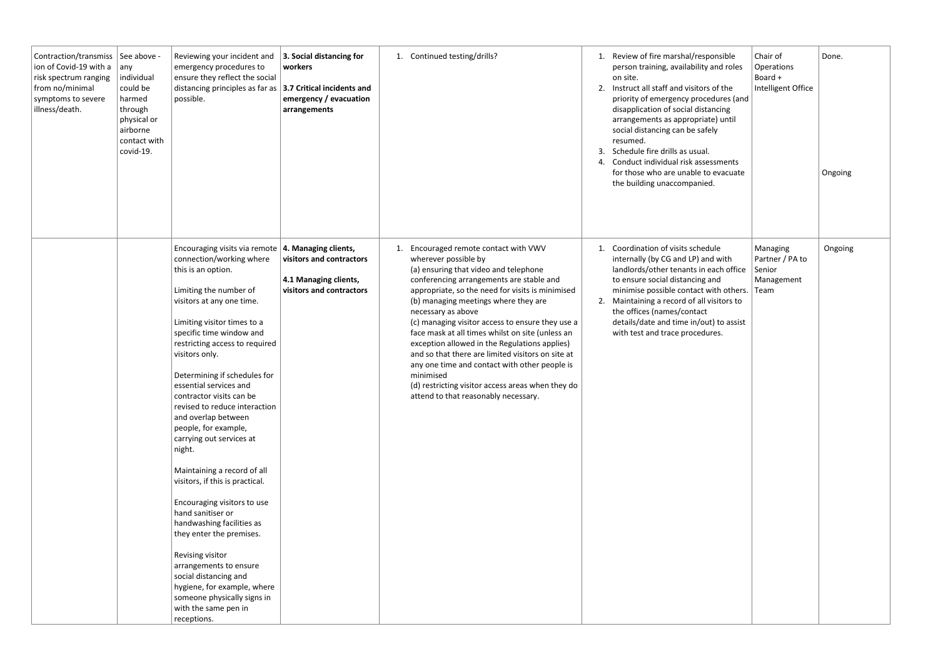| Contraction/transmiss   See above -<br>ion of Covid-19 with a $ $ any<br>risk spectrum ranging<br>from no/minimal<br>symptoms to severe<br>illness/death. | individual<br>could be<br>harmed<br>through<br>physical or<br>airborne<br>contact with<br>covid-19. | Reviewing your incident and<br>emergency procedures to<br>ensure they reflect the social<br>distancing principles as far as $ 3.7$ Critical incidents and<br>possible.                                                                                                                                                                                                                                                                                                                                                                                                                                                                                                                                                                                                                                                       | 3. Social distancing for<br>workers<br>emergency / evacuation<br>arrangements                         | 1. Continued testing/drills?                                                                                                                                                                                                                                                                                                                                                                                                                                                                                                                                                                                                                     | 2.<br>3 | Review of fire marshal/responsible<br>person training, availability and roles<br>on site.<br>Instruct all staff and visitors of the<br>priority of emergency procedures (and<br>disapplication of social distancing<br>arrangements as appropriate) until<br>social distancing can be safely<br>resumed.<br>Schedule fire drills as usual.<br>Conduct individual risk assessments<br>for those who are unable to evacuate<br>the building unaccompanied. | Chair of<br>Operations<br>Board +<br>Intelligent Office | Done.<br>Ongoing |
|-----------------------------------------------------------------------------------------------------------------------------------------------------------|-----------------------------------------------------------------------------------------------------|------------------------------------------------------------------------------------------------------------------------------------------------------------------------------------------------------------------------------------------------------------------------------------------------------------------------------------------------------------------------------------------------------------------------------------------------------------------------------------------------------------------------------------------------------------------------------------------------------------------------------------------------------------------------------------------------------------------------------------------------------------------------------------------------------------------------------|-------------------------------------------------------------------------------------------------------|--------------------------------------------------------------------------------------------------------------------------------------------------------------------------------------------------------------------------------------------------------------------------------------------------------------------------------------------------------------------------------------------------------------------------------------------------------------------------------------------------------------------------------------------------------------------------------------------------------------------------------------------------|---------|----------------------------------------------------------------------------------------------------------------------------------------------------------------------------------------------------------------------------------------------------------------------------------------------------------------------------------------------------------------------------------------------------------------------------------------------------------|---------------------------------------------------------|------------------|
|                                                                                                                                                           |                                                                                                     | Encouraging visits via remote<br>connection/working where<br>this is an option.<br>Limiting the number of<br>visitors at any one time.<br>Limiting visitor times to a<br>specific time window and<br>restricting access to required<br>visitors only.<br>Determining if schedules for<br>essential services and<br>contractor visits can be<br>revised to reduce interaction<br>and overlap between<br>people, for example,<br>carrying out services at<br>night.<br>Maintaining a record of all<br>visitors, if this is practical.<br>Encouraging visitors to use<br>hand sanitiser or<br>handwashing facilities as<br>they enter the premises.<br>Revising visitor<br>arrangements to ensure<br>social distancing and<br>hygiene, for example, where<br>someone physically signs in<br>with the same pen in<br>receptions. | 4. Managing clients,<br>visitors and contractors<br>4.1 Managing clients,<br>visitors and contractors | Encouraged remote contact with VWV<br>1.<br>wherever possible by<br>(a) ensuring that video and telephone<br>conferencing arrangements are stable and<br>appropriate, so the need for visits is minimised<br>(b) managing meetings where they are<br>necessary as above<br>(c) managing visitor access to ensure they use a<br>face mask at all times whilst on site (unless an<br>exception allowed in the Regulations applies)<br>and so that there are limited visitors on site at<br>any one time and contact with other people is<br>minimised<br>(d) restricting visitor access areas when they do<br>attend to that reasonably necessary. |         | Coordination of visits schedule<br>internally (by CG and LP) and with<br>landlords/other tenants in each office<br>to ensure social distancing and<br>minimise possible contact with others. Team<br>2. Maintaining a record of all visitors to<br>the offices (names/contact<br>details/date and time in/out) to assist<br>with test and trace procedures.                                                                                              | Managing<br>Partner / PA to<br>Senior<br>Management     | Ongoing          |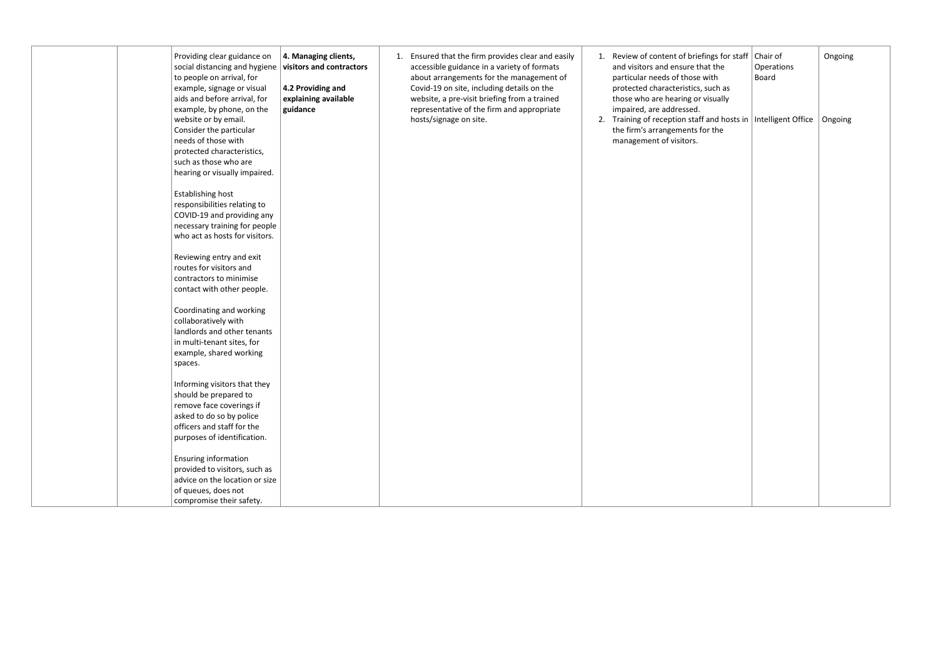| Providing clear guidance on<br>social distancing and hygiene<br>to people on arrival, for<br>example, signage or visual<br>aids and before arrival, for<br>example, by phone, on the<br>website or by email.<br>Consider the particular<br>needs of those with<br>protected characteristics,<br>such as those who are<br>hearing or visually impaired. | 4. Managing clients,<br>visitors and contractors<br>4.2 Providing and<br>explaining available<br>guidance | 1. Ensured that the firm provides clear and easily<br>accessible guidance in a variety of formats<br>about arrangements for the management of<br>Covid-19 on site, including details on the<br>website, a pre-visit briefing from a trained<br>representative of the firm and appropriate<br>hosts/signage on site. | Review of content of briefings for staff   Chair of<br>and visitors and ensure that the<br>particular needs of those with<br>protected characteristics, such as<br>those who are hearing or visually<br>impaired, are addressed.<br>2. Training of reception staff and hosts in   Intelligent Office   Ongoing<br>the firm's arrangements for the<br>management of visitors. | Ongoing<br>Operations<br>Board |
|--------------------------------------------------------------------------------------------------------------------------------------------------------------------------------------------------------------------------------------------------------------------------------------------------------------------------------------------------------|-----------------------------------------------------------------------------------------------------------|---------------------------------------------------------------------------------------------------------------------------------------------------------------------------------------------------------------------------------------------------------------------------------------------------------------------|------------------------------------------------------------------------------------------------------------------------------------------------------------------------------------------------------------------------------------------------------------------------------------------------------------------------------------------------------------------------------|--------------------------------|
| <b>Establishing host</b><br>responsibilities relating to<br>COVID-19 and providing any<br>necessary training for people<br>who act as hosts for visitors.                                                                                                                                                                                              |                                                                                                           |                                                                                                                                                                                                                                                                                                                     |                                                                                                                                                                                                                                                                                                                                                                              |                                |
| Reviewing entry and exit<br>routes for visitors and<br>contractors to minimise<br>contact with other people.                                                                                                                                                                                                                                           |                                                                                                           |                                                                                                                                                                                                                                                                                                                     |                                                                                                                                                                                                                                                                                                                                                                              |                                |
| Coordinating and working<br>collaboratively with<br>landlords and other tenants<br>in multi-tenant sites, for<br>example, shared working<br>spaces.                                                                                                                                                                                                    |                                                                                                           |                                                                                                                                                                                                                                                                                                                     |                                                                                                                                                                                                                                                                                                                                                                              |                                |
| Informing visitors that they<br>should be prepared to<br>remove face coverings if<br>asked to do so by police<br>officers and staff for the<br>purposes of identification.                                                                                                                                                                             |                                                                                                           |                                                                                                                                                                                                                                                                                                                     |                                                                                                                                                                                                                                                                                                                                                                              |                                |
| <b>Ensuring information</b><br>provided to visitors, such as<br>advice on the location or size<br>of queues, does not<br>compromise their safety.                                                                                                                                                                                                      |                                                                                                           |                                                                                                                                                                                                                                                                                                                     |                                                                                                                                                                                                                                                                                                                                                                              |                                |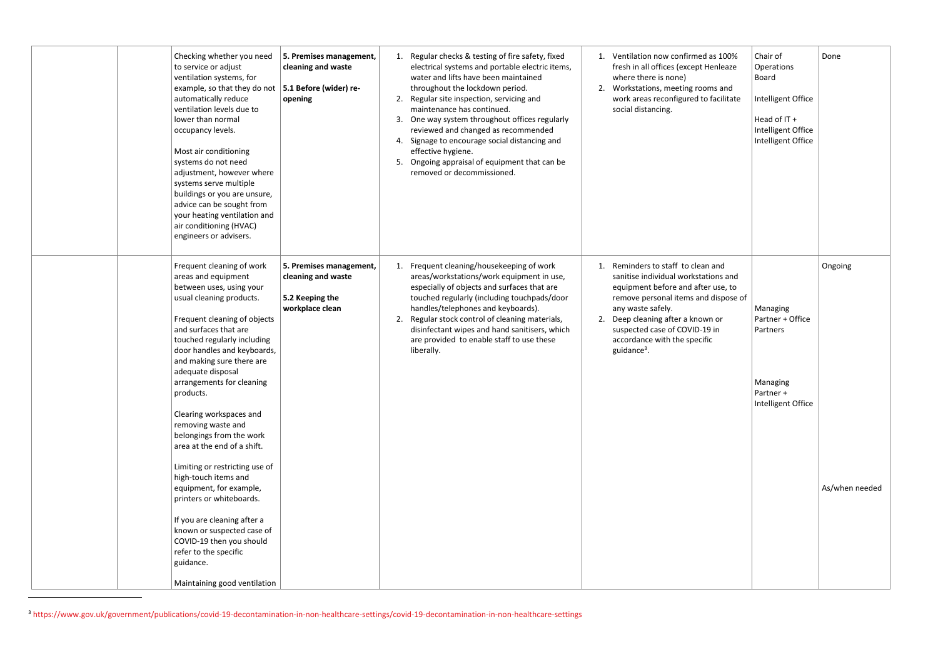| Checking whether you need<br>to service or adjust<br>ventilation systems, for<br>example, so that they do not<br>automatically reduce<br>ventilation levels due to<br>lower than normal<br>occupancy levels.<br>Most air conditioning<br>systems do not need<br>adjustment, however where<br>systems serve multiple<br>buildings or you are unsure,<br>advice can be sought from<br>your heating ventilation and<br>air conditioning (HVAC)<br>engineers or advisers. | 5. Premises management,<br>cleaning and waste<br>5.1 Before (wider) re-<br>opening  | Regular checks & testing of fire safety, fixed<br>1.<br>electrical systems and portable electric items,<br>water and lifts have been maintained<br>throughout the lockdown period.<br>Regular site inspection, servicing and<br>2.<br>maintenance has continued.<br>One way system throughout offices regularly<br>3.<br>reviewed and changed as recommended<br>Signage to encourage social distancing and<br>4.<br>effective hygiene.<br>Ongoing appraisal of equipment that can be<br>5.<br>removed or decommissioned. | 2.                   | Ventilation now confirmed as 100%<br>fresh in all offices (except Henleaze<br>where there is none)<br>Workstations, meeting rooms and<br>work areas reconfigured to facilitate<br>social distancing.                                                                                                     |
|-----------------------------------------------------------------------------------------------------------------------------------------------------------------------------------------------------------------------------------------------------------------------------------------------------------------------------------------------------------------------------------------------------------------------------------------------------------------------|-------------------------------------------------------------------------------------|--------------------------------------------------------------------------------------------------------------------------------------------------------------------------------------------------------------------------------------------------------------------------------------------------------------------------------------------------------------------------------------------------------------------------------------------------------------------------------------------------------------------------|----------------------|----------------------------------------------------------------------------------------------------------------------------------------------------------------------------------------------------------------------------------------------------------------------------------------------------------|
| Frequent cleaning of work<br>areas and equipment<br>between uses, using your<br>usual cleaning products.<br>Frequent cleaning of objects<br>and surfaces that are<br>touched regularly including<br>door handles and keyboards,<br>and making sure there are<br>adequate disposal<br>arrangements for cleaning<br>products.<br>Clearing workspaces and                                                                                                                | 5. Premises management,<br>cleaning and waste<br>5.2 Keeping the<br>workplace clean | Frequent cleaning/housekeeping of work<br>1.<br>areas/workstations/work equipment in use,<br>especially of objects and surfaces that are<br>touched regularly (including touchpads/door<br>handles/telephones and keyboards).<br>Regular stock control of cleaning materials,<br>disinfectant wipes and hand sanitisers, which<br>are provided to enable staff to use these<br>liberally.                                                                                                                                | $\mathbf{1}$ .<br>2. | Reminders to staff to clean and<br>sanitise individual workstations and<br>equipment before and after use, to<br>remove personal items and dispose of<br>any waste safely.<br>Deep cleaning after a known or<br>suspected case of COVID-19 in<br>accordance with the specific<br>guidance <sup>3</sup> . |
| removing waste and<br>belongings from the work<br>area at the end of a shift.<br>Limiting or restricting use of<br>high-touch items and<br>equipment, for example,<br>printers or whiteboards.<br>If you are cleaning after a<br>known or suspected case of<br>COVID-19 then you should<br>refer to the specific                                                                                                                                                      |                                                                                     |                                                                                                                                                                                                                                                                                                                                                                                                                                                                                                                          |                      |                                                                                                                                                                                                                                                                                                          |
| guidance.<br>Maintaining good ventilation                                                                                                                                                                                                                                                                                                                                                                                                                             |                                                                                     |                                                                                                                                                                                                                                                                                                                                                                                                                                                                                                                          |                      |                                                                                                                                                                                                                                                                                                          |

<sup>3</sup> <https://www.gov.uk/government/publications/covid-19-decontamination-in-non-healthcare-settings/covid-19-decontamination-in-non-healthcare-settings>

| as 100%<br>enleaze<br>ทร and<br>facilitate                      | Chair of<br>Operations<br><b>Board</b><br>Intelligent Office<br>Head of IT +<br>Intelligent Office<br>Intelligent Office | Done           |
|-----------------------------------------------------------------|--------------------------------------------------------------------------------------------------------------------------|----------------|
| and<br>ions and<br>r use, to<br>dispose of<br>n or<br>) in<br>C | Managing<br>Partner + Office<br>Partners<br>Managing<br>Partner +<br>Intelligent Office                                  | Ongoing        |
|                                                                 |                                                                                                                          | As/when needed |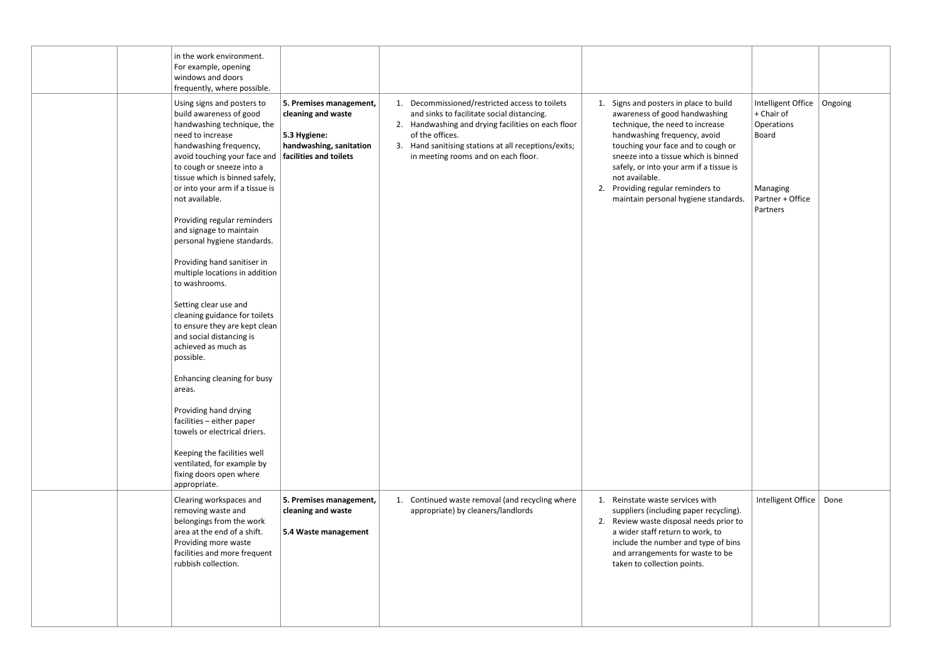|  | in the work environment.<br>For example, opening<br>windows and doors<br>frequently, where possible.                                                                                                                                                                                                                                                                                                                                                                                                                                                                                                                                                                                                                                                                                                                                                               |                                                                                                                    |                                                                                                                                                                                                                                                                      |                                                                                                                                                                                                                                                                                                                                                                 |                                                                                                                |
|--|--------------------------------------------------------------------------------------------------------------------------------------------------------------------------------------------------------------------------------------------------------------------------------------------------------------------------------------------------------------------------------------------------------------------------------------------------------------------------------------------------------------------------------------------------------------------------------------------------------------------------------------------------------------------------------------------------------------------------------------------------------------------------------------------------------------------------------------------------------------------|--------------------------------------------------------------------------------------------------------------------|----------------------------------------------------------------------------------------------------------------------------------------------------------------------------------------------------------------------------------------------------------------------|-----------------------------------------------------------------------------------------------------------------------------------------------------------------------------------------------------------------------------------------------------------------------------------------------------------------------------------------------------------------|----------------------------------------------------------------------------------------------------------------|
|  | Using signs and posters to<br>build awareness of good<br>handwashing technique, the<br>need to increase<br>handwashing frequency,<br>avoid touching your face and<br>to cough or sneeze into a<br>tissue which is binned safely,<br>or into your arm if a tissue is<br>not available.<br>Providing regular reminders<br>and signage to maintain<br>personal hygiene standards.<br>Providing hand sanitiser in<br>multiple locations in addition<br>to washrooms.<br>Setting clear use and<br>cleaning guidance for toilets<br>to ensure they are kept clean<br>and social distancing is<br>achieved as much as<br>possible.<br>Enhancing cleaning for busy<br>areas.<br>Providing hand drying<br>facilities - either paper<br>towels or electrical driers.<br>Keeping the facilities well<br>ventilated, for example by<br>fixing doors open where<br>appropriate. | 5. Premises management,<br>cleaning and waste<br>5.3 Hygiene:<br>handwashing, sanitation<br>facilities and toilets | 1. Decommissioned/restricted access to toilets<br>and sinks to facilitate social distancing.<br>2. Handwashing and drying facilities on each floor<br>of the offices.<br>3. Hand sanitising stations at all receptions/exits;<br>in meeting rooms and on each floor. | Signs and posters in place to build<br>awareness of good handwashing<br>technique, the need to increase<br>handwashing frequency, avoid<br>touching your face and to cough or<br>sneeze into a tissue which is binned<br>safely, or into your arm if a tissue is<br>not available.<br>2. Providing regular reminders to<br>maintain personal hygiene standards. | Intelligent Office<br>Ongoing<br>+ Chair of<br>Operations<br>Board<br>Managing<br>Partner + Office<br>Partners |
|  | Clearing workspaces and<br>removing waste and<br>belongings from the work<br>area at the end of a shift.<br>Providing more waste<br>facilities and more frequent<br>rubbish collection.                                                                                                                                                                                                                                                                                                                                                                                                                                                                                                                                                                                                                                                                            | 5. Premises management,<br>cleaning and waste<br>5.4 Waste management                                              | 1. Continued waste removal (and recycling where<br>appropriate) by cleaners/landlords                                                                                                                                                                                | 1. Reinstate waste services with<br>suppliers (including paper recycling).<br>2. Review waste disposal needs prior to<br>a wider staff return to work, to<br>include the number and type of bins<br>and arrangements for waste to be<br>taken to collection points.                                                                                             | Intelligent Office   Done                                                                                      |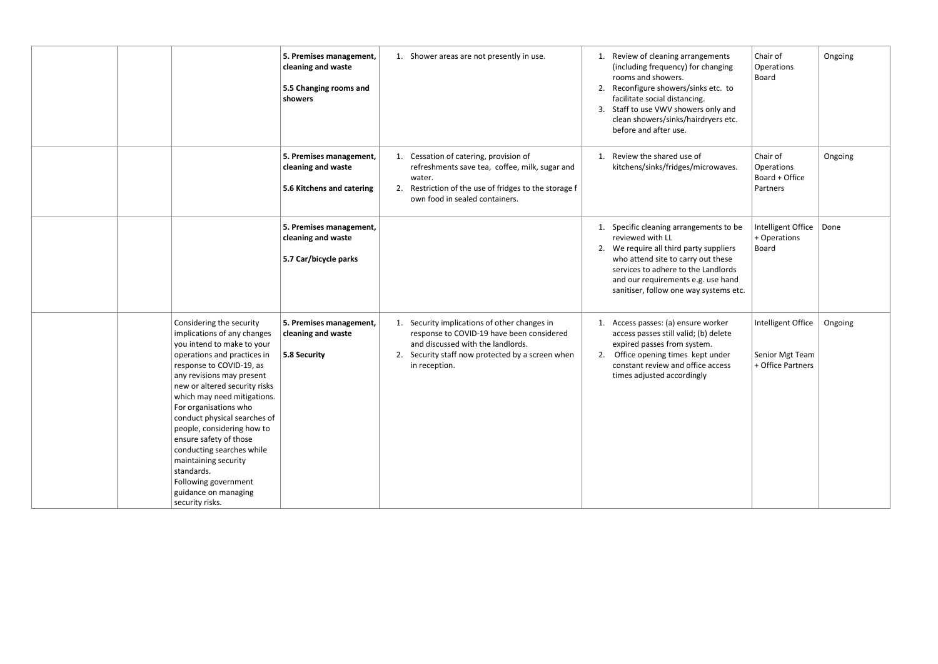|                                                                                                                                                                                                                                                                                                                                                                                                                                                                                                      | 5. Premises management,<br>cleaning and waste<br>5.5 Changing rooms and<br>showers | 1. Shower areas are not presently in use.                                                                                                                                                           | Review of cleaning arrangements<br>1.<br>(including frequency) for changing<br>rooms and showers.<br>Reconfigure showers/sinks etc. to<br>facilitate social distancing.<br>3. Staff to use VWV showers only and<br>clean showers/sinks/hairdryers etc.<br>before and after use. | Chair of<br>Operations<br><b>Board</b>                     | Ongoing |
|------------------------------------------------------------------------------------------------------------------------------------------------------------------------------------------------------------------------------------------------------------------------------------------------------------------------------------------------------------------------------------------------------------------------------------------------------------------------------------------------------|------------------------------------------------------------------------------------|-----------------------------------------------------------------------------------------------------------------------------------------------------------------------------------------------------|---------------------------------------------------------------------------------------------------------------------------------------------------------------------------------------------------------------------------------------------------------------------------------|------------------------------------------------------------|---------|
|                                                                                                                                                                                                                                                                                                                                                                                                                                                                                                      | 5. Premises management,<br>cleaning and waste<br>5.6 Kitchens and catering         | 1. Cessation of catering, provision of<br>refreshments save tea, coffee, milk, sugar and<br>water.<br>2. Restriction of the use of fridges to the storage f<br>own food in sealed containers.       | Review the shared use of<br>1.<br>kitchens/sinks/fridges/microwaves.                                                                                                                                                                                                            | Chair of<br>Operations<br>Board + Office<br>Partners       | Ongoing |
|                                                                                                                                                                                                                                                                                                                                                                                                                                                                                                      | 5. Premises management,<br>cleaning and waste<br>5.7 Car/bicycle parks             |                                                                                                                                                                                                     | 1. Specific cleaning arrangements to be<br>reviewed with LL<br>2. We require all third party suppliers<br>who attend site to carry out these<br>services to adhere to the Landlords<br>and our requirements e.g. use hand<br>sanitiser, follow one way systems etc.             | Intelligent Office<br>+ Operations<br><b>Board</b>         | Done    |
| Considering the security<br>implications of any changes<br>you intend to make to your<br>operations and practices in<br>response to COVID-19, as<br>any revisions may present<br>new or altered security risks<br>which may need mitigations.<br>For organisations who<br>conduct physical searches of<br>people, considering how to<br>ensure safety of those<br>conducting searches while<br>maintaining security<br>standards.<br>Following government<br>guidance on managing<br>security risks. | 5. Premises management,<br>cleaning and waste<br>5.8 Security                      | 1. Security implications of other changes in<br>response to COVID-19 have been considered<br>and discussed with the landlords.<br>2. Security staff now protected by a screen when<br>in reception. | Access passes: (a) ensure worker<br>access passes still valid; (b) delete<br>expired passes from system.<br>Office opening times kept under<br>-2.<br>constant review and office access<br>times adjusted accordingly                                                           | Intelligent Office<br>Senior Mgt Team<br>+ Office Partners | Ongoing |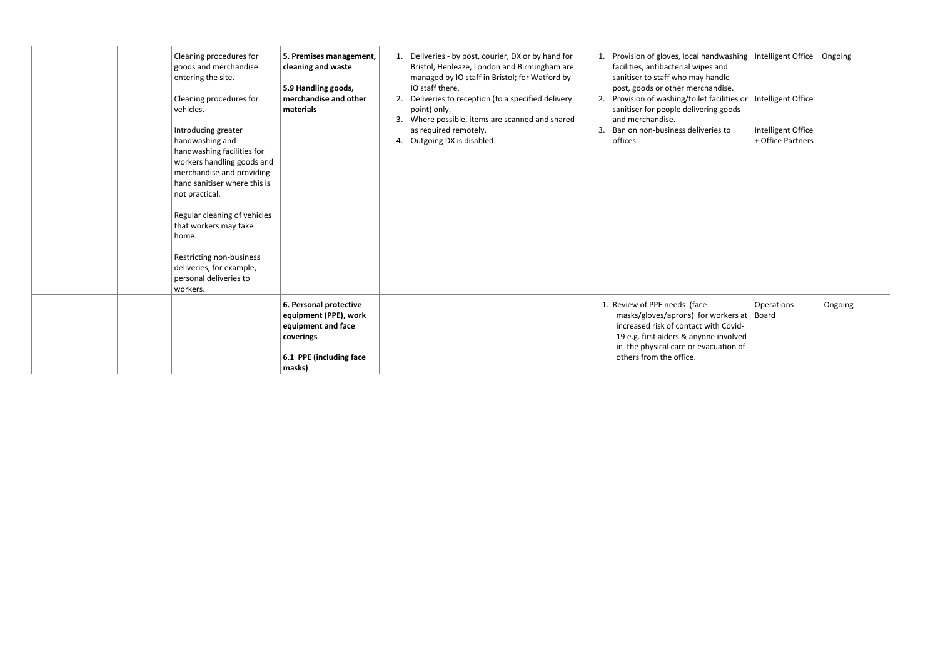| Cleaning procedures for<br>goods and merchandise<br>entering the site.<br>Cleaning procedures for<br>vehicles.<br>Introducing greater                                                                               | 5. Premises management,<br>cleaning and waste<br>5.9 Handling goods,<br>merchandise and other<br>materials              | 1. Deliveries - by post, courier, DX or by hand for<br>Bristol, Henleaze, London and Birmingham are<br>managed by IO staff in Bristol; for Watford by<br>IO staff there.<br>2. Deliveries to reception (to a specified delivery<br>point) only.<br>3. Where possible, items are scanned and shared<br>as required remotely. | Provision of gloves, local handwashing   Intelligent Office   Ongoing<br>facilities, antibacterial wipes and<br>sanitiser to staff who may handle<br>post, goods or other merchandise.<br>2. Provision of washing/toilet facilities or<br>sanitiser for people delivering goods<br>and merchandise.<br>Ban on non-business deliveries to | Intelligent Office<br>Intelligent Office |         |
|---------------------------------------------------------------------------------------------------------------------------------------------------------------------------------------------------------------------|-------------------------------------------------------------------------------------------------------------------------|-----------------------------------------------------------------------------------------------------------------------------------------------------------------------------------------------------------------------------------------------------------------------------------------------------------------------------|------------------------------------------------------------------------------------------------------------------------------------------------------------------------------------------------------------------------------------------------------------------------------------------------------------------------------------------|------------------------------------------|---------|
| handwashing and<br>handwashing facilities for<br>workers handling goods and<br>merchandise and providing<br>hand sanitiser where this is<br>not practical.<br>Regular cleaning of vehicles<br>that workers may take |                                                                                                                         | 4. Outgoing DX is disabled.                                                                                                                                                                                                                                                                                                 | offices.                                                                                                                                                                                                                                                                                                                                 | + Office Partners                        |         |
| home.<br>Restricting non-business<br>deliveries, for example,<br>personal deliveries to<br>workers.                                                                                                                 |                                                                                                                         |                                                                                                                                                                                                                                                                                                                             |                                                                                                                                                                                                                                                                                                                                          |                                          |         |
|                                                                                                                                                                                                                     | 6. Personal protective<br>equipment (PPE), work<br>equipment and face<br>coverings<br>6.1 PPE (including face<br>masks) |                                                                                                                                                                                                                                                                                                                             | 1. Review of PPE needs (face<br>masks/gloves/aprons) for workers at   Board<br>increased risk of contact with Covid-<br>19 e.g. first aiders & anyone involved<br>in the physical care or evacuation of<br>others from the office.                                                                                                       | Operations                               | Ongoing |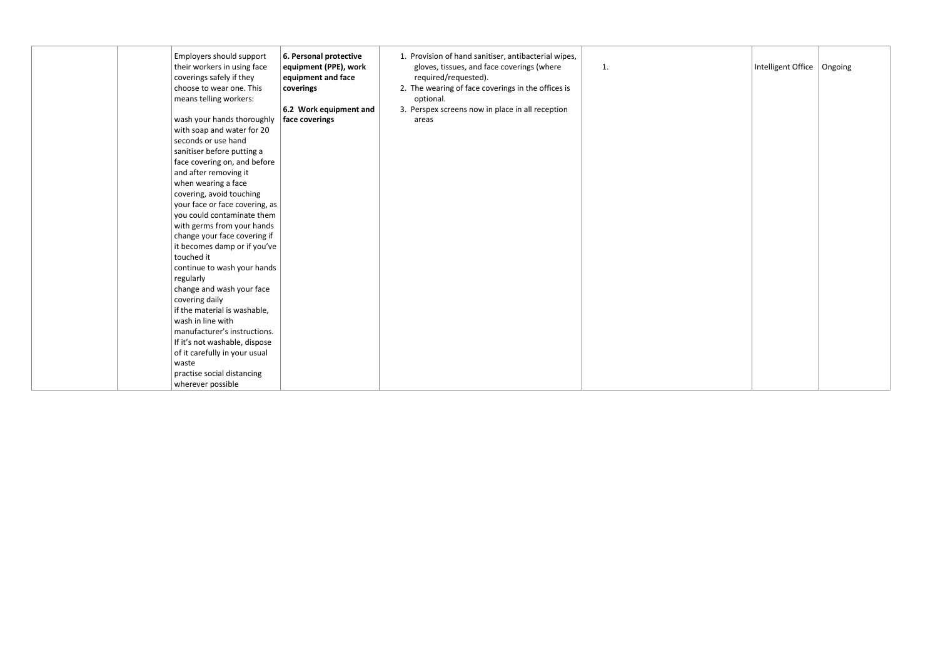| Employers should support<br>their workers in using face<br>coverings safely if they<br>choose to wear one. This<br>means telling workers: | 6. Personal protective<br>equipment (PPE), work<br>equipment and face<br>coverings | 1. Provision of hand sanitiser, antibacterial wipes,<br>gloves, tissues, and face coverings (where<br>required/requested).<br>2. The wearing of face coverings in the offices is<br>optional. | 1. |
|-------------------------------------------------------------------------------------------------------------------------------------------|------------------------------------------------------------------------------------|-----------------------------------------------------------------------------------------------------------------------------------------------------------------------------------------------|----|
| wash your hands thoroughly                                                                                                                | 6.2 Work equipment and<br>face coverings                                           | 3. Perspex screens now in place in all reception<br>areas                                                                                                                                     |    |
| with soap and water for 20                                                                                                                |                                                                                    |                                                                                                                                                                                               |    |
| seconds or use hand                                                                                                                       |                                                                                    |                                                                                                                                                                                               |    |
| sanitiser before putting a                                                                                                                |                                                                                    |                                                                                                                                                                                               |    |
| face covering on, and before                                                                                                              |                                                                                    |                                                                                                                                                                                               |    |
| and after removing it                                                                                                                     |                                                                                    |                                                                                                                                                                                               |    |
| when wearing a face                                                                                                                       |                                                                                    |                                                                                                                                                                                               |    |
| covering, avoid touching                                                                                                                  |                                                                                    |                                                                                                                                                                                               |    |
| your face or face covering, as                                                                                                            |                                                                                    |                                                                                                                                                                                               |    |
| you could contaminate them                                                                                                                |                                                                                    |                                                                                                                                                                                               |    |
| with germs from your hands                                                                                                                |                                                                                    |                                                                                                                                                                                               |    |
| change your face covering if                                                                                                              |                                                                                    |                                                                                                                                                                                               |    |
| it becomes damp or if you've                                                                                                              |                                                                                    |                                                                                                                                                                                               |    |
| touched it                                                                                                                                |                                                                                    |                                                                                                                                                                                               |    |
| continue to wash your hands                                                                                                               |                                                                                    |                                                                                                                                                                                               |    |
| regularly                                                                                                                                 |                                                                                    |                                                                                                                                                                                               |    |
| change and wash your face                                                                                                                 |                                                                                    |                                                                                                                                                                                               |    |
| covering daily                                                                                                                            |                                                                                    |                                                                                                                                                                                               |    |
| if the material is washable,                                                                                                              |                                                                                    |                                                                                                                                                                                               |    |
| wash in line with                                                                                                                         |                                                                                    |                                                                                                                                                                                               |    |
| manufacturer's instructions.                                                                                                              |                                                                                    |                                                                                                                                                                                               |    |
| If it's not washable, dispose                                                                                                             |                                                                                    |                                                                                                                                                                                               |    |
| of it carefully in your usual<br>waste                                                                                                    |                                                                                    |                                                                                                                                                                                               |    |
| practise social distancing                                                                                                                |                                                                                    |                                                                                                                                                                                               |    |
| wherever possible                                                                                                                         |                                                                                    |                                                                                                                                                                                               |    |
|                                                                                                                                           |                                                                                    |                                                                                                                                                                                               |    |

| 1. | Intelligent Office | $ $ Ongoing |
|----|--------------------|-------------|
|    |                    |             |
|    |                    |             |
|    |                    |             |
|    |                    |             |
|    |                    |             |
|    |                    |             |
|    |                    |             |
|    |                    |             |
|    |                    |             |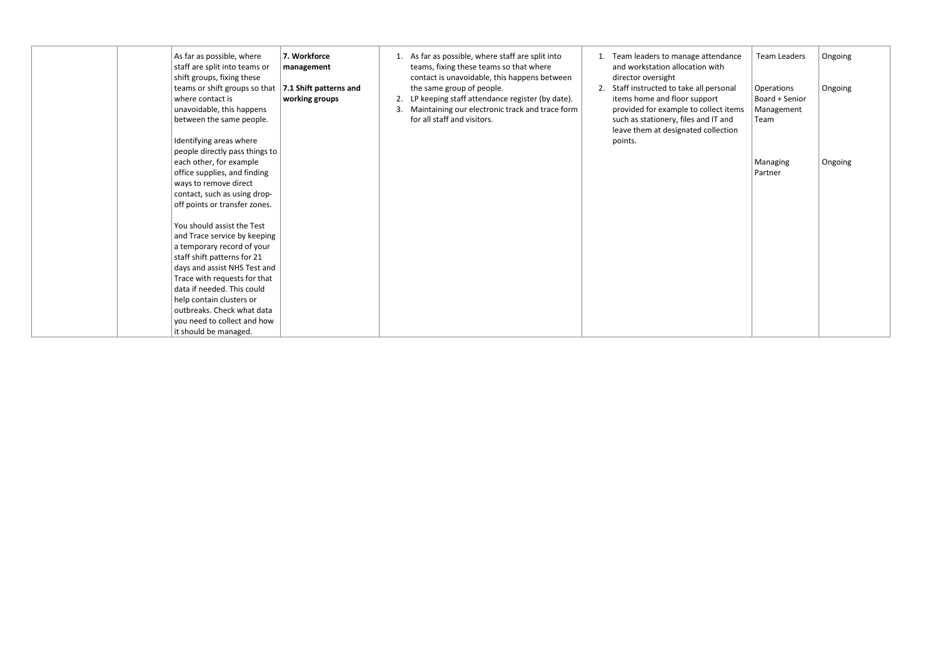| As far as possible, where<br>7. Workforce<br>staff are split into teams or<br>management<br>shift groups, fixing these<br>teams or shift groups so that $\vert$ 7.1 Shift patterns and<br>where contact is<br>working groups<br>unavoidable, this happens<br>between the same people.<br>Identifying areas where                        | 1. As far as possible, where staff are split into<br>teams, fixing these teams so that where<br>contact is unavoidable, this happens between<br>the same group of people.<br>2. LP keeping staff attendance register (by date).<br>Maintaining our electronic track and trace form<br>3.<br>for all staff and visitors. | Team leaders to manage attendance<br>and workstation allocation with<br>director oversight<br>Staff instructed to take all personal<br>items home and floor support<br>provided for example to collect items<br>such as stationery, files and IT and<br>leave them at designated collection<br>points. | <b>Team Leaders</b><br>Operations<br>Board + Senior<br>Management<br>Team | Ongoing<br>Ongoing |
|-----------------------------------------------------------------------------------------------------------------------------------------------------------------------------------------------------------------------------------------------------------------------------------------------------------------------------------------|-------------------------------------------------------------------------------------------------------------------------------------------------------------------------------------------------------------------------------------------------------------------------------------------------------------------------|--------------------------------------------------------------------------------------------------------------------------------------------------------------------------------------------------------------------------------------------------------------------------------------------------------|---------------------------------------------------------------------------|--------------------|
| people directly pass things to<br>each other, for example<br>office supplies, and finding<br>ways to remove direct<br>contact, such as using drop-<br>off points or transfer zones.                                                                                                                                                     |                                                                                                                                                                                                                                                                                                                         |                                                                                                                                                                                                                                                                                                        | Managing<br>Partner                                                       | Ongoing            |
| You should assist the Test<br>and Trace service by keeping<br>a temporary record of your<br>staff shift patterns for 21<br>days and assist NHS Test and<br>Trace with requests for that<br>data if needed. This could<br>help contain clusters or<br>outbreaks. Check what data<br>you need to collect and how<br>it should be managed. |                                                                                                                                                                                                                                                                                                                         |                                                                                                                                                                                                                                                                                                        |                                                                           |                    |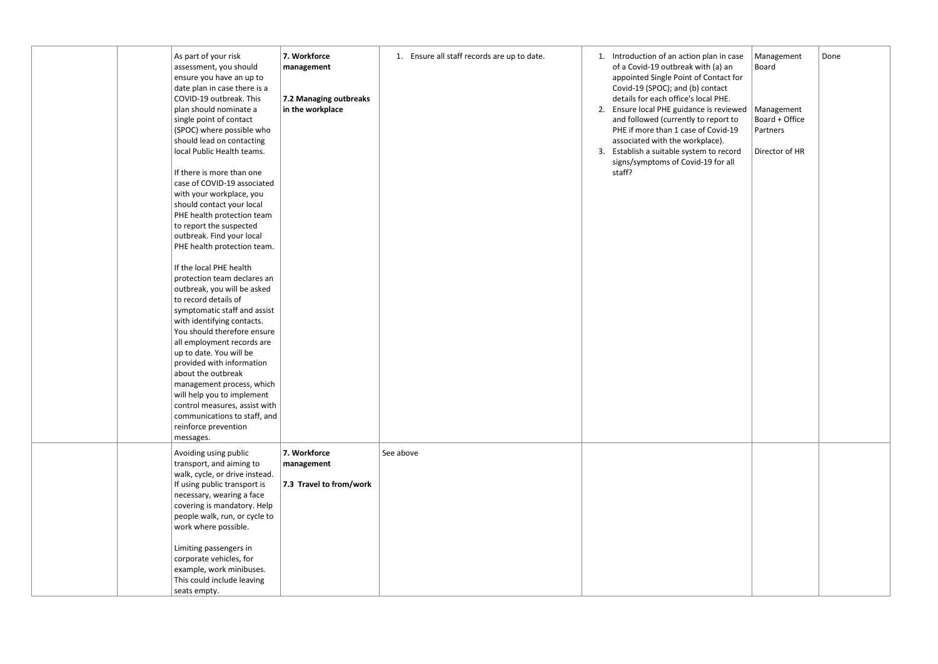|  | As part of your risk<br>assessment, you should<br>ensure you have an up to<br>date plan in case there is a<br>COVID-19 outbreak. This<br>plan should nominate a<br>single point of contact<br>(SPOC) where possible who<br>should lead on contacting<br>local Public Health teams.<br>If there is more than one<br>case of COVID-19 associated<br>with your workplace, you<br>should contact your local<br>PHE health protection team<br>to report the suspected<br>outbreak. Find your local<br>PHE health protection team.<br>If the local PHE health<br>protection team declares an<br>outbreak, you will be asked<br>to record details of<br>symptomatic staff and assist<br>with identifying contacts.<br>You should therefore ensure<br>all employment records are<br>up to date. You will be<br>provided with information<br>about the outbreak<br>management process, which<br>will help you to implement<br>control measures, assist with<br>communications to staff, and<br>reinforce prevention<br>messages. | 7. Workforce<br>1. Ensure all staff records are up to date.<br>management<br>7.2 Managing outbreaks<br>in the workplace | 1. Introduction of an action plan in case<br>of a Covid-19 outbreak with (a) an<br>appointed Single Point of Contact for<br>Covid-19 (SPOC); and (b) contact<br>details for each office's local PHE.<br>2. Ensure local PHE guidance is reviewed   Management<br>and followed (currently to report to<br>PHE if more than 1 case of Covid-19<br>associated with the workplace).<br>3. Establish a suitable system to record<br>signs/symptoms of Covid-19 for all<br>staff? | Management<br>Board<br>Board + Office<br>Partners<br>Director of HR | Done |
|--|-------------------------------------------------------------------------------------------------------------------------------------------------------------------------------------------------------------------------------------------------------------------------------------------------------------------------------------------------------------------------------------------------------------------------------------------------------------------------------------------------------------------------------------------------------------------------------------------------------------------------------------------------------------------------------------------------------------------------------------------------------------------------------------------------------------------------------------------------------------------------------------------------------------------------------------------------------------------------------------------------------------------------|-------------------------------------------------------------------------------------------------------------------------|-----------------------------------------------------------------------------------------------------------------------------------------------------------------------------------------------------------------------------------------------------------------------------------------------------------------------------------------------------------------------------------------------------------------------------------------------------------------------------|---------------------------------------------------------------------|------|
|  | Avoiding using public<br>transport, and aiming to<br>walk, cycle, or drive instead.<br>If using public transport is<br>necessary, wearing a face<br>covering is mandatory. Help<br>people walk, run, or cycle to<br>work where possible.<br>Limiting passengers in<br>corporate vehicles, for<br>example, work minibuses.<br>This could include leaving<br>seats empty.                                                                                                                                                                                                                                                                                                                                                                                                                                                                                                                                                                                                                                                 | 7. Workforce<br>See above<br>management<br>7.3 Travel to from/work                                                      |                                                                                                                                                                                                                                                                                                                                                                                                                                                                             |                                                                     |      |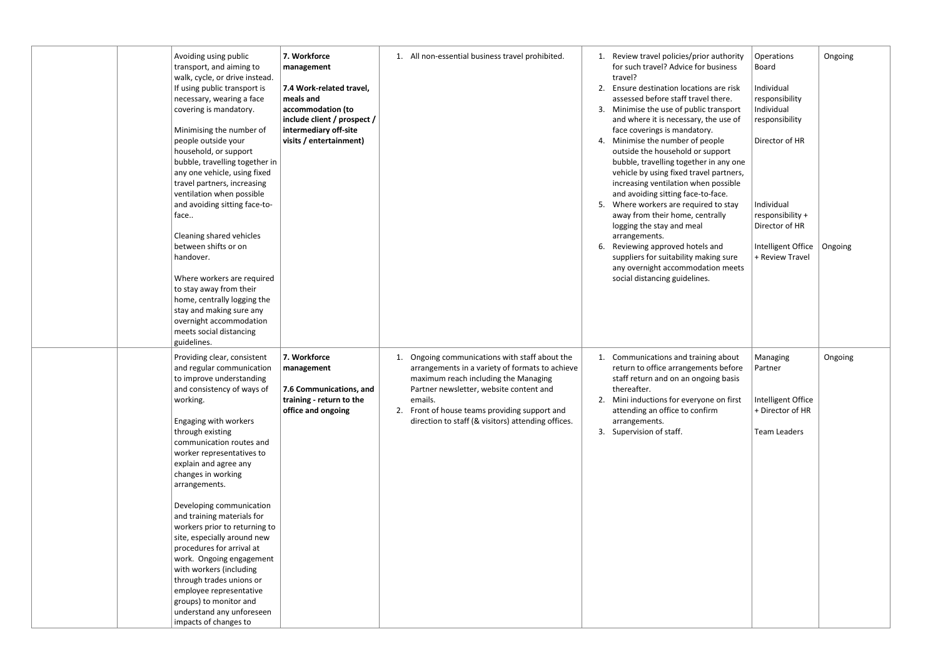| Avoiding using public<br>transport, and aiming to<br>walk, cycle, or drive instead.<br>If using public transport is<br>necessary, wearing a face<br>covering is mandatory.<br>Minimising the number of<br>people outside your<br>household, or support<br>bubble, travelling together in<br>any one vehicle, using fixed<br>travel partners, increasing<br>ventilation when possible<br>and avoiding sitting face-to-<br>face<br>Cleaning shared vehicles<br>between shifts or on<br>handover.<br>Where workers are required<br>to stay away from their<br>home, centrally logging the<br>stay and making sure any<br>overnight accommodation<br>meets social distancing<br>guidelines. | 7. Workforce<br>management<br>7.4 Work-related travel,<br>meals and<br>accommodation (to<br>include client / prospect /<br>intermediary off-site<br>visits / entertainment) | 1. All non-essential business travel prohibited.                                                                                                                                                                                                                                                             | Review travel policies/prior authority<br>1.<br>for such travel? Advice for business<br>travel?<br>Ensure destination locations are risk<br>2.<br>assessed before staff travel there.<br>Minimise the use of public transport<br>and where it is necessary, the use of<br>face coverings is mandatory.<br>Minimise the number of people<br>4.<br>outside the household or support<br>bubble, travelling together in any one<br>vehicle by using fixed travel partners,<br>increasing ventilation when possible<br>and avoiding sitting face-to-face.<br>Where workers are required to stay<br>5.<br>away from their home, centrally<br>logging the stay and meal<br>arrangements.<br>Reviewing approved hotels and<br>6.<br>suppliers for suitability making sure<br>any overnight accommodation meets<br>social distancing guidelines. |
|-----------------------------------------------------------------------------------------------------------------------------------------------------------------------------------------------------------------------------------------------------------------------------------------------------------------------------------------------------------------------------------------------------------------------------------------------------------------------------------------------------------------------------------------------------------------------------------------------------------------------------------------------------------------------------------------|-----------------------------------------------------------------------------------------------------------------------------------------------------------------------------|--------------------------------------------------------------------------------------------------------------------------------------------------------------------------------------------------------------------------------------------------------------------------------------------------------------|-----------------------------------------------------------------------------------------------------------------------------------------------------------------------------------------------------------------------------------------------------------------------------------------------------------------------------------------------------------------------------------------------------------------------------------------------------------------------------------------------------------------------------------------------------------------------------------------------------------------------------------------------------------------------------------------------------------------------------------------------------------------------------------------------------------------------------------------|
| Providing clear, consistent<br>and regular communication<br>to improve understanding<br>and consistency of ways of<br>working.<br>Engaging with workers<br>through existing<br>communication routes and<br>worker representatives to<br>explain and agree any<br>changes in working<br>arrangements.<br>Developing communication<br>and training materials for<br>workers prior to returning to<br>site, especially around new<br>procedures for arrival at<br>work. Ongoing engagement<br>with workers (including<br>through trades unions or<br>employee representative<br>groups) to monitor and<br>understand any unforeseen<br>impacts of changes to                               | 7. Workforce<br>management<br>7.6 Communications, and<br>training - return to the<br>office and ongoing                                                                     | Ongoing communications with staff about the<br>1.<br>arrangements in a variety of formats to achieve<br>maximum reach including the Managing<br>Partner newsletter, website content and<br>emails.<br>Front of house teams providing support and<br>2.<br>direction to staff (& visitors) attending offices. | 1. Communications and training about<br>return to office arrangements before<br>staff return and on an ongoing basis<br>thereafter.<br>Mini inductions for everyone on first<br>attending an office to confirm<br>arrangements.<br>3. Supervision of staff.                                                                                                                                                                                                                                                                                                                                                                                                                                                                                                                                                                             |

| authority<br>ousiness                                                                        | Operations<br><b>Board</b>                                         | Ongoing |
|----------------------------------------------------------------------------------------------|--------------------------------------------------------------------|---------|
| s are risk<br>there.<br>ransport<br>he use of                                                | Individual<br>responsibility<br>Individual<br>responsibility       |         |
| Ι.<br>ople<br>ipport<br>in any one<br>partners,<br>possible<br>-face.<br>d to stay<br>trally | Director of HR<br>Individual<br>responsibility +<br>Director of HR |         |
| and<br>ing sure<br>ion meets                                                                 | Intelligent Office<br>+ Review Travel                              | Ongoing |
| ng about<br>nts before<br>ing basis                                                          | Managing<br>Partner                                                | Ongoing |
| e on first<br>m                                                                              | Intelligent Office<br>+ Director of HR                             |         |
|                                                                                              | <b>Team Leaders</b>                                                |         |
|                                                                                              |                                                                    |         |
|                                                                                              |                                                                    |         |
|                                                                                              |                                                                    |         |
|                                                                                              |                                                                    |         |
|                                                                                              |                                                                    |         |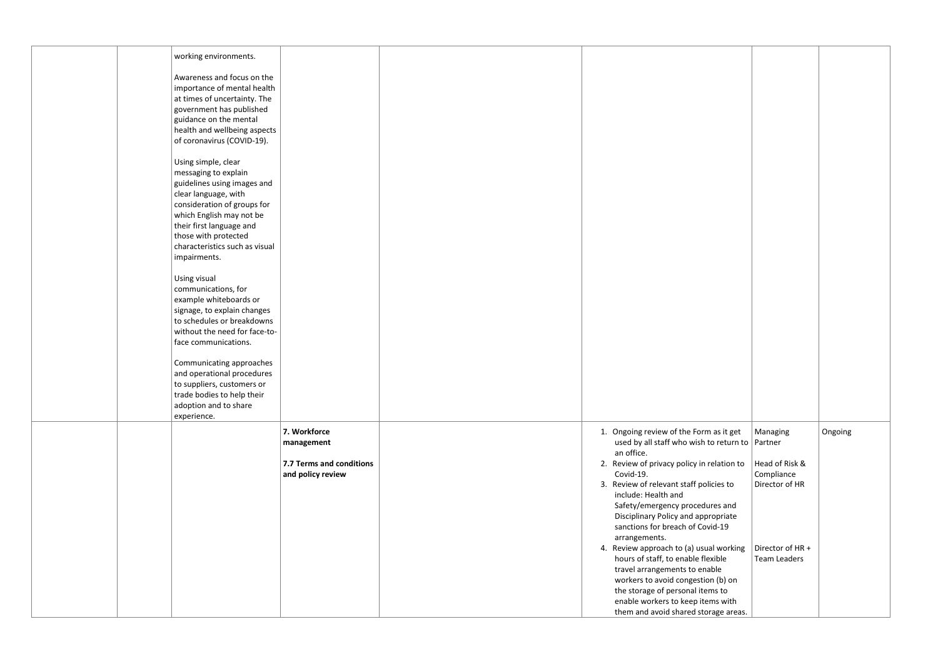| working environments.          |                                                     |                     |         |
|--------------------------------|-----------------------------------------------------|---------------------|---------|
| Awareness and focus on the     |                                                     |                     |         |
| importance of mental health    |                                                     |                     |         |
| at times of uncertainty. The   |                                                     |                     |         |
| government has published       |                                                     |                     |         |
| guidance on the mental         |                                                     |                     |         |
| health and wellbeing aspects   |                                                     |                     |         |
| of coronavirus (COVID-19).     |                                                     |                     |         |
|                                |                                                     |                     |         |
| Using simple, clear            |                                                     |                     |         |
| messaging to explain           |                                                     |                     |         |
| guidelines using images and    |                                                     |                     |         |
| clear language, with           |                                                     |                     |         |
| consideration of groups for    |                                                     |                     |         |
| which English may not be       |                                                     |                     |         |
| their first language and       |                                                     |                     |         |
| those with protected           |                                                     |                     |         |
| characteristics such as visual |                                                     |                     |         |
| impairments.                   |                                                     |                     |         |
|                                |                                                     |                     |         |
| Using visual                   |                                                     |                     |         |
| communications, for            |                                                     |                     |         |
| example whiteboards or         |                                                     |                     |         |
| signage, to explain changes    |                                                     |                     |         |
| to schedules or breakdowns     |                                                     |                     |         |
| without the need for face-to-  |                                                     |                     |         |
| face communications.           |                                                     |                     |         |
|                                |                                                     |                     |         |
| Communicating approaches       |                                                     |                     |         |
| and operational procedures     |                                                     |                     |         |
| to suppliers, customers or     |                                                     |                     |         |
| trade bodies to help their     |                                                     |                     |         |
| adoption and to share          |                                                     |                     |         |
| experience.                    |                                                     |                     |         |
| 7. Workforce                   | 1. Ongoing review of the Form as it get             | Managing            | Ongoing |
| management                     | used by all staff who wish to return to $ $ Partner |                     |         |
|                                | an office.                                          |                     |         |
| 7.7 Terms and conditions       | 2. Review of privacy policy in relation to          | Head of Risk &      |         |
| and policy review              | Covid-19.                                           | Compliance          |         |
|                                | 3. Review of relevant staff policies to             | Director of HR      |         |
|                                | include: Health and                                 |                     |         |
|                                | Safety/emergency procedures and                     |                     |         |
|                                | Disciplinary Policy and appropriate                 |                     |         |
|                                | sanctions for breach of Covid-19                    |                     |         |
|                                | arrangements.                                       |                     |         |
|                                | 4. Review approach to (a) usual working             | Director of HR +    |         |
|                                | hours of staff, to enable flexible                  | <b>Team Leaders</b> |         |
|                                | travel arrangements to enable                       |                     |         |
|                                | workers to avoid congestion (b) on                  |                     |         |
|                                | the storage of personal items to                    |                     |         |
|                                | enable workers to keep items with                   |                     |         |
|                                | them and avoid shared storage areas.                |                     |         |
|                                |                                                     |                     |         |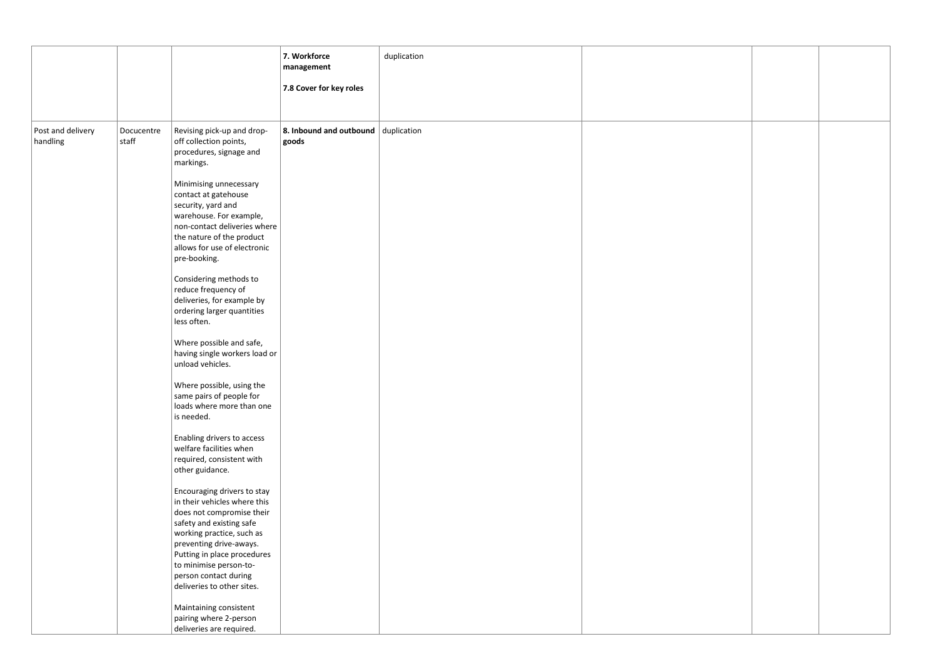|                               |                     |                                                      | 7. Workforce<br>management          | duplication |  |  |
|-------------------------------|---------------------|------------------------------------------------------|-------------------------------------|-------------|--|--|
|                               |                     |                                                      |                                     |             |  |  |
|                               |                     |                                                      | 7.8 Cover for key roles             |             |  |  |
|                               |                     |                                                      |                                     |             |  |  |
|                               |                     |                                                      |                                     |             |  |  |
|                               |                     |                                                      | 8. Inbound and outbound duplication |             |  |  |
| Post and delivery<br>handling | Docucentre<br>staff | Revising pick-up and drop-<br>off collection points, | goods                               |             |  |  |
|                               |                     | procedures, signage and                              |                                     |             |  |  |
|                               |                     | markings.                                            |                                     |             |  |  |
|                               |                     |                                                      |                                     |             |  |  |
|                               |                     | Minimising unnecessary                               |                                     |             |  |  |
|                               |                     | contact at gatehouse                                 |                                     |             |  |  |
|                               |                     | security, yard and                                   |                                     |             |  |  |
|                               |                     | warehouse. For example,                              |                                     |             |  |  |
|                               |                     | non-contact deliveries where                         |                                     |             |  |  |
|                               |                     | the nature of the product                            |                                     |             |  |  |
|                               |                     | allows for use of electronic                         |                                     |             |  |  |
|                               |                     | pre-booking.                                         |                                     |             |  |  |
|                               |                     | Considering methods to                               |                                     |             |  |  |
|                               |                     | reduce frequency of                                  |                                     |             |  |  |
|                               |                     | deliveries, for example by                           |                                     |             |  |  |
|                               |                     | ordering larger quantities                           |                                     |             |  |  |
|                               |                     | less often.                                          |                                     |             |  |  |
|                               |                     |                                                      |                                     |             |  |  |
|                               |                     | Where possible and safe,                             |                                     |             |  |  |
|                               |                     | having single workers load or                        |                                     |             |  |  |
|                               |                     | unload vehicles.                                     |                                     |             |  |  |
|                               |                     | Where possible, using the                            |                                     |             |  |  |
|                               |                     | same pairs of people for                             |                                     |             |  |  |
|                               |                     | loads where more than one                            |                                     |             |  |  |
|                               |                     | is needed.                                           |                                     |             |  |  |
|                               |                     |                                                      |                                     |             |  |  |
|                               |                     | Enabling drivers to access                           |                                     |             |  |  |
|                               |                     | welfare facilities when                              |                                     |             |  |  |
|                               |                     | required, consistent with                            |                                     |             |  |  |
|                               |                     | other guidance.                                      |                                     |             |  |  |
|                               |                     | Encouraging drivers to stay                          |                                     |             |  |  |
|                               |                     | in their vehicles where this                         |                                     |             |  |  |
|                               |                     | does not compromise their                            |                                     |             |  |  |
|                               |                     | safety and existing safe                             |                                     |             |  |  |
|                               |                     | working practice, such as                            |                                     |             |  |  |
|                               |                     | preventing drive-aways.                              |                                     |             |  |  |
|                               |                     | Putting in place procedures                          |                                     |             |  |  |
|                               |                     | to minimise person-to-                               |                                     |             |  |  |
|                               |                     | person contact during<br>deliveries to other sites.  |                                     |             |  |  |
|                               |                     |                                                      |                                     |             |  |  |
|                               |                     | Maintaining consistent                               |                                     |             |  |  |
|                               |                     | pairing where 2-person                               |                                     |             |  |  |
|                               |                     | deliveries are required.                             |                                     |             |  |  |